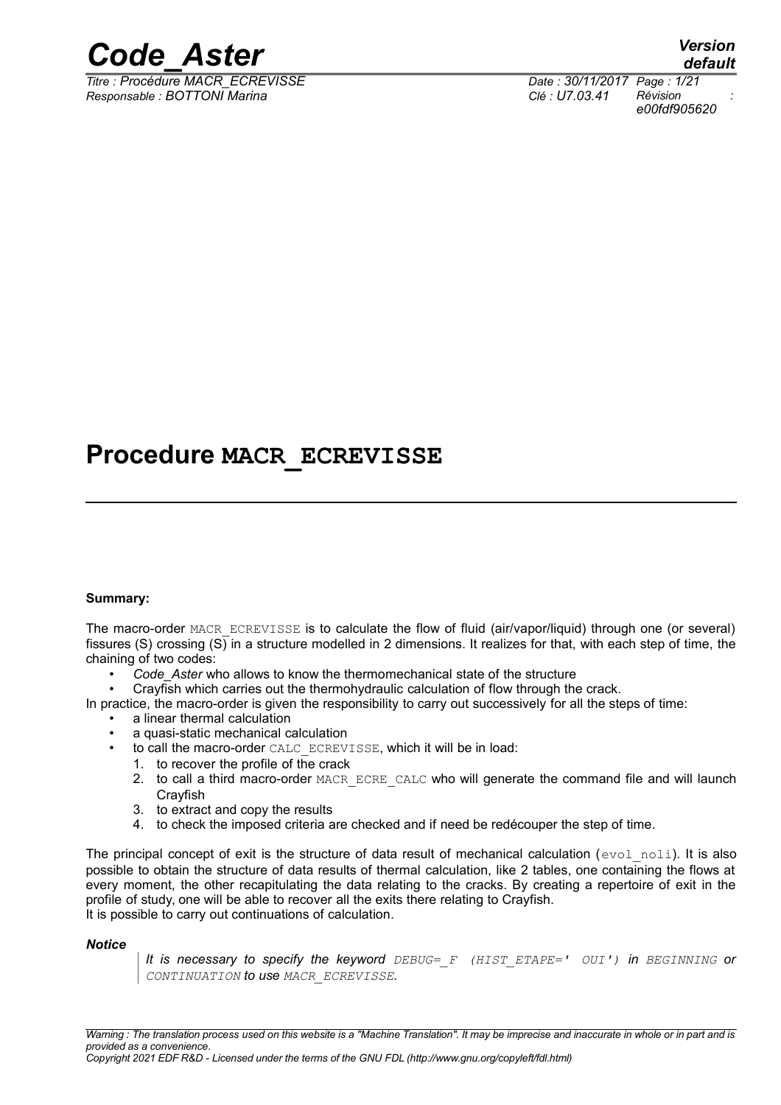

*Titre : Procédure MACR\_ECREVISSE Date : 30/11/2017 Page : 1/21 Responsable : BOTTONI Marina Clé : U7.03.41 Révision :*

### **Procedure MACR\_ECREVISSE**

#### **Summary:**

The macro-order MACR\_ECREVISSE is to calculate the flow of fluid (air/vapor/liquid) through one (or several) fissures (S) crossing (S) in a structure modelled in 2 dimensions. It realizes for that, with each step of time, the chaining of two codes:

• *Code\_Aster* who allows to know the thermomechanical state of the structure

• Crayfish which carries out the thermohydraulic calculation of flow through the crack.

In practice, the macro-order is given the responsibility to carry out successively for all the steps of time:

- a linear thermal calculation
- a quasi-static mechanical calculation
- to call the macro-order CALC\_ECREVISSE, which it will be in load:
	- 1. to recover the profile of the crack
	- 2. to call a third macro-order MACR\_ECRE\_CALC who will generate the command file and will launch Crayfish
	- 3. to extract and copy the results
	- 4. to check the imposed criteria are checked and if need be redécouper the step of time.

The principal concept of exit is the structure of data result of mechanical calculation ( $evol\_noli$ ). It is also possible to obtain the structure of data results of thermal calculation, like 2 tables, one containing the flows at every moment, the other recapitulating the data relating to the cracks. By creating a repertoire of exit in the profile of study, one will be able to recover all the exits there relating to Crayfish. It is possible to carry out continuations of calculation.

#### *Notice*

*It is necessary to specify the keyword DEBUG=\_F (HIST\_ETAPE=' OUI') in BEGINNING or CONTINUATION to use MACR\_ECREVISSE.*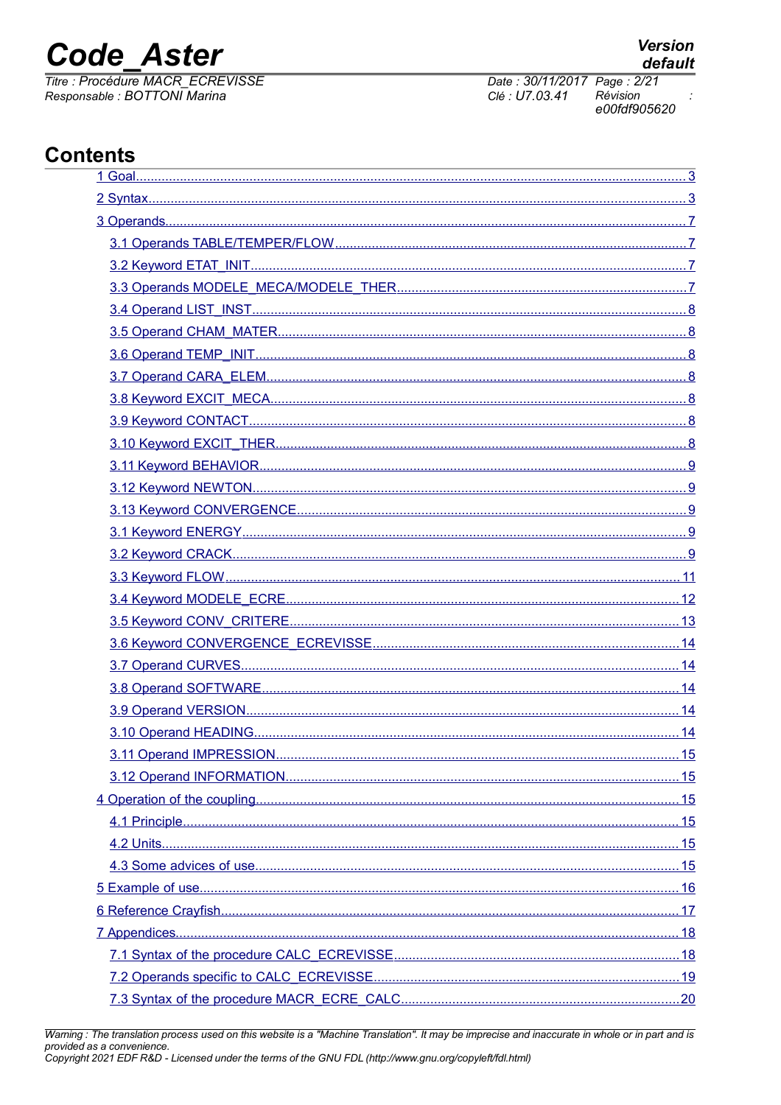## **Code Aster**

Titre : Procédure MACR ECREVISSE Responsable : BOTTONI Marina

Date: 30/11/2017 Page: 2/21 Clé : U7.03.41 Révision e00fdf905620

### **Contents**

Warning : The translation process used on this website is a "Machine Translation". It may be imprecise and inaccurate in whole or in part and is provided as a convenience.<br>Copyright 2021 EDF R&D - Licensed under the terms of the GNU FDL (http://www.gnu.org/copyleft/fdl.html)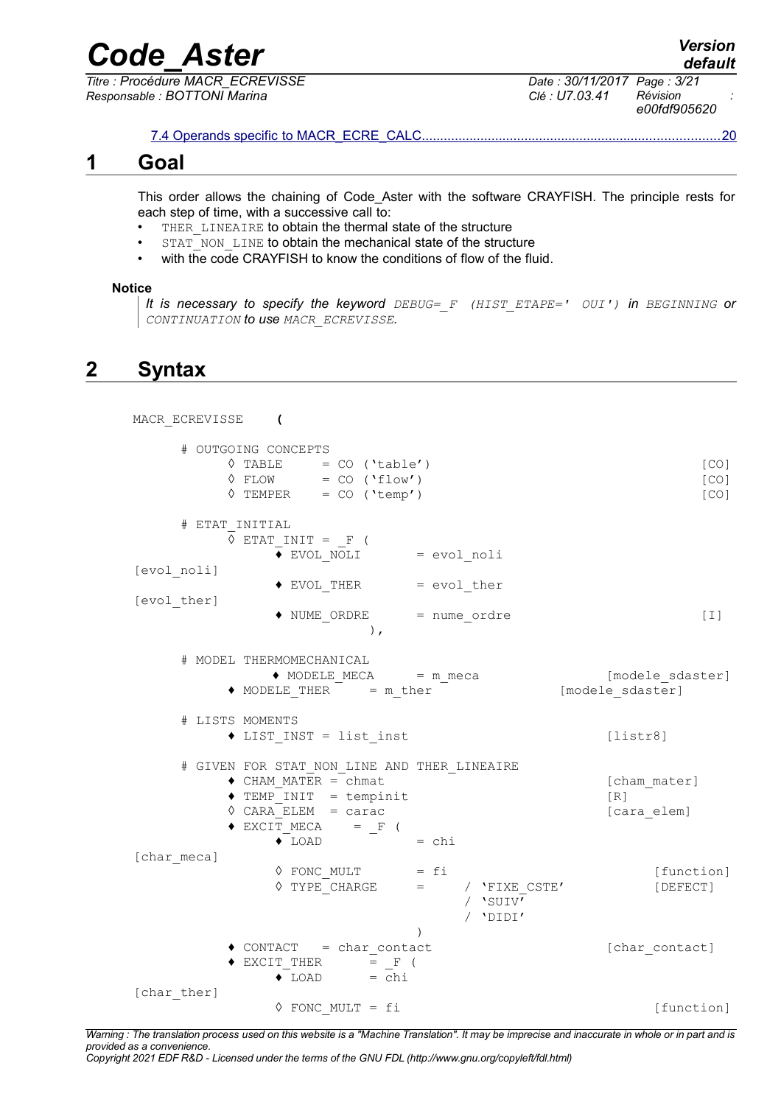*Titre : Procédure MACR\_ECREVISSE Date : 30/11/2017 Page : 3/21 Responsable : BOTTONI Marina Clé : U7.03.41 Révision :*

*e00fdf905620*

<span id="page-2-1"></span> [7.4 Operands specific to MACR\\_ECRE\\_CALC .................................................................................20](#page-19-1)

### **1 Goal**

This order allows the chaining of Code Aster with the software CRAYFISH. The principle rests for each step of time, with a successive call to:

- THER LINEAIRE to obtain the thermal state of the structure
- STAT NON LINE to obtain the mechanical state of the structure
- with the code CRAYFISH to know the conditions of flow of the fluid.

#### **Notice**

*It is necessary to specify the keyword DEBUG=\_F (HIST\_ETAPE=' OUI') in BEGINNING or CONTINUATION to use MACR\_ECREVISSE.*

### <span id="page-2-0"></span>**2 Syntax**

```
MACR_ECREVISSE (
```

| # OUTGOING CONCEPTS<br>$\Diamond$ TABLE = CO ('table')<br>$\Diamond$ FLOW = CO ('flow')<br>$\Diamond$ TEMPER = CO ('temp')                                                                                              | [CO]<br>[CO]<br>[CO]                             |
|-------------------------------------------------------------------------------------------------------------------------------------------------------------------------------------------------------------------------|--------------------------------------------------|
| # ETAT INITIAL<br>$\Diamond$ ETAT INIT = F (<br>$\overline{\bullet}$ EVOL_NOLI = evol_noli<br>[evol noli]<br>$\bullet$ EVOL THER = evol_ther<br>[evol_ther]<br>◆ NUME ORDRE = nume ordre<br>$\,$ ,                      | $[1]$                                            |
| # MODEL THERMOMECHANICAL<br>$\bullet$ MODELE MECA = m meca<br>$\bullet$ MODELE_THER = $m_{\text{ther}}$                                                                                                                 | [modele sdaster]<br>[modele sdaster]             |
| # LISTS MOMENTS<br>$\blacklozenge$ LIST INST = list inst                                                                                                                                                                | [liststr8]                                       |
| # GIVEN FOR STAT NON LINE AND THER LINEAIRE<br>$\bullet$ CHAM MATER = chmat<br>$\triangleleft$ TEMP INIT = tempinit<br>$\Diamond$ CARA ELEM = carac<br>$\bullet$ EXCIT MECA = $_F$ (<br>$\blacklozenge$ LOAD<br>$=$ chi | [cham mater]<br>$\lceil R \rceil$<br>[cara elem] |
| [char meca]<br>$\Diamond$ FONC_MULT = fi<br>$\sqrt{V} =$ TYPE CHARGE = / $V =$<br>/ 'SUIV'<br>/ 'DIDI'                                                                                                                  | [function]<br>[DEFECT]                           |
| $\lambda$<br>$\bullet$ CONTACT = char contact<br>$\bullet$ EXCIT_THER = F (<br>$\bullet$ LOAD = chi<br>[char ther]<br>$\Diamond$ FONC MULT = fi                                                                         | [char contact]<br>[function]                     |

*Warning : The translation process used on this website is a "Machine Translation". It may be imprecise and inaccurate in whole or in part and is provided as a convenience.*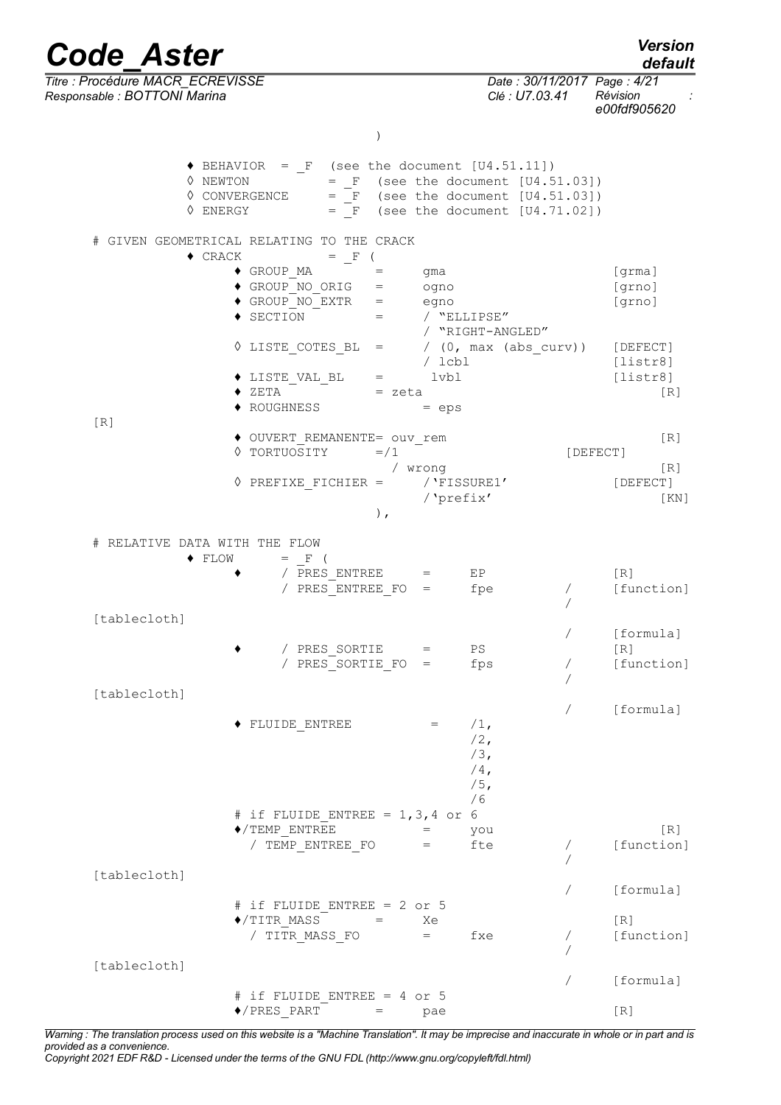# *Code\_Aster*<br>
Titre : Procédure MACR ECREVISSE Date : 30/11/2017

*Titre : Procédure MACR\_ECREVISSE Date : 30/11/2017 Page : 4/21 Responsable : BOTTONI Marina Clé : U7.03.41 Révision :*

| <b>Version</b> |  |
|----------------|--|
| default        |  |

*e00fdf905620*

)

|                                                       | $\triangleleft$ BEHAVIOR = F (see the document [U4.51.11])<br>♦ NEWTON<br>♦ CONVERGENCE<br>$\Diamond$ ENERGY                                                                                                                                                                                                                                                                |                          | $=$ F (see the document $[U4.51.03]$ )<br>$=$ $\mathbb{F}$ (see the document [U4.51.03])<br>$=$ F (see the document $[U4.71.02]$ ) |            |                                                             |
|-------------------------------------------------------|-----------------------------------------------------------------------------------------------------------------------------------------------------------------------------------------------------------------------------------------------------------------------------------------------------------------------------------------------------------------------------|--------------------------|------------------------------------------------------------------------------------------------------------------------------------|------------|-------------------------------------------------------------|
| $\bullet$ CRACK                                       | # GIVEN GEOMETRICAL RELATING TO THE CRACK<br>$=$ F (<br>$\bullet$ GROUP MA $=$<br>$\bullet$ GROUP NO ORIG = $\circ$ gno<br>◆ GROUP_NO_EXTR = $\qquad$ egno<br>◆ SECTION = / "ELLIPSE"<br>$\Diamond$ LISTE COTES BL = / (0, max (abs_curv)) [DEFECT]<br>$\bullet$ LISTE_VAL BL = $1$ vbl<br>$\bullet$ ZETA $\overline{\phantom{0}}$<br>$=$ zeta<br>$\blacklozenge$ ROUGHNESS | qma<br>/ lcbl<br>$=$ eps | / "RIGHT-ANGLED"                                                                                                                   |            | [grma]<br>[grno]<br>[grno]<br>[listr8]<br>[liststr8]<br>[R] |
| [R]                                                   | ◆ OUVERT REMANENTE= ouv rem<br>♦ TORTUOSITY<br>$=$ / 1<br>$\Diamond$ PREFIXE FICHIER = / 'FISSURE1'<br>$\,$ ,                                                                                                                                                                                                                                                               | / wronq<br>/'prefix'     |                                                                                                                                    | [DEFECT]   | [R]<br>[R]<br>[DEFECT]<br>[KN]                              |
| # RELATIVE DATA WITH THE FLOW<br>$\blacklozenge$ FLOW | $=$ $\mathbf{F}$ (<br>/ PRES ENTREE $=$ EP<br>/ PRES ENTREE FO =                                                                                                                                                                                                                                                                                                            |                          | fpe                                                                                                                                | $\sqrt{2}$ | [R]<br>[function]                                           |
| [tablecloth]<br>[tablecloth]                          | / PRES_SORTIE = PS<br>/ $PRES$ SORTIE FO =                                                                                                                                                                                                                                                                                                                                  |                          | fps                                                                                                                                |            | [formula]<br>[R]<br>[function]                              |
|                                                       | ◆ FLUIDE ENTREE<br>$\mathcal{L}_{\mathcal{A}}$ , and $\mathcal{L}_{\mathcal{A}}$ , and $\mathcal{L}_{\mathcal{A}}$                                                                                                                                                                                                                                                          |                          | $/1$ ,<br>$/2$ ,<br>$/3$ ,<br>$/4$ ,<br>$/5$ ,<br>/6                                                                               |            | [formula]                                                   |
| [tablecloth]                                          | # if FLUIDE ENTREE = $1, 3, 4$ or 6<br>$\blacklozenge$ /TEMP ENTREE<br>TEMP ENTREE FO                                                                                                                                                                                                                                                                                       |                          | you<br>fte                                                                                                                         |            | [R]<br>[function]                                           |
|                                                       | # if FLUIDE ENTREE = 2 or 5<br>$\blacklozenge$ /TITR MASS<br>$=$<br>/ TITR MASS_FO                                                                                                                                                                                                                                                                                          | Xe<br>$=$                | fxe                                                                                                                                |            | [formula]<br>[R]<br>[function]                              |
| [tablecloth]                                          | # if FLUIDE ENTREE = 4 or 5<br>$\blacklozenge/\textsc{PRES}$ PART                                                                                                                                                                                                                                                                                                           | pae                      |                                                                                                                                    |            | [formula]<br>[R]                                            |

*Warning : The translation process used on this website is a "Machine Translation". It may be imprecise and inaccurate in whole or in part and is provided as a convenience.*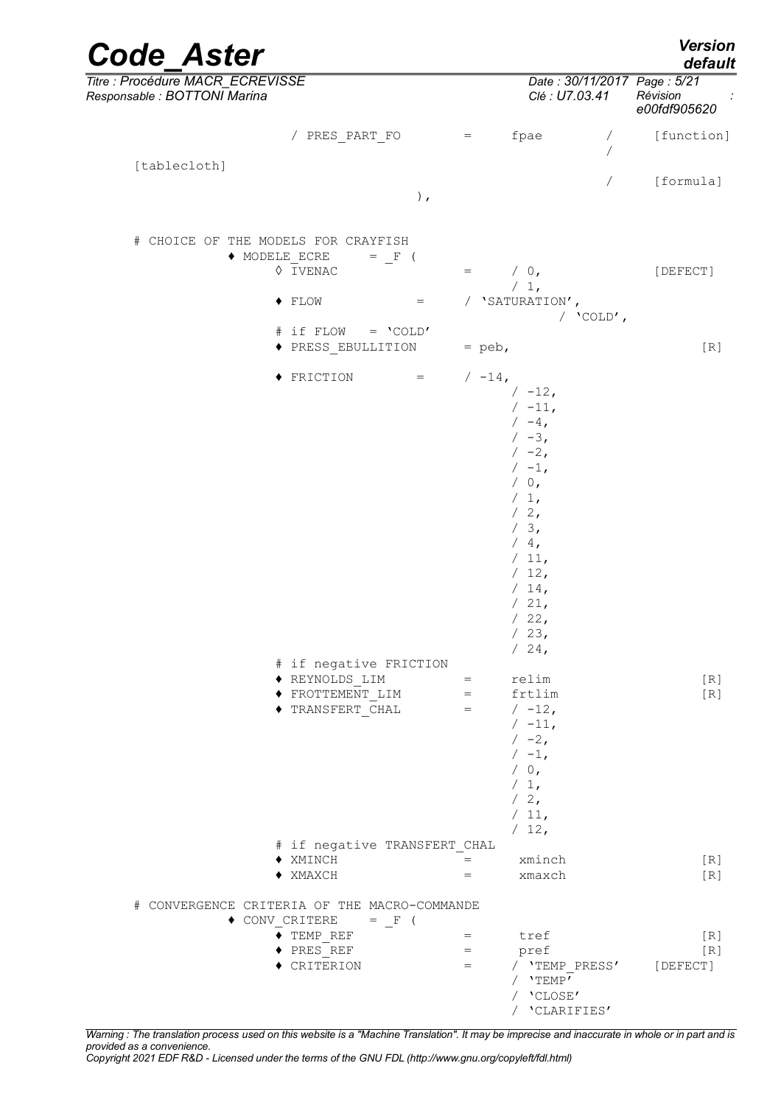| Versioi |
|---------|
| defaul  |

| <b>Code Aster</b>                                                |                                                                                  |       |                                                                                                                                                                                                                                                                                                                                                                                                                          |          |                                                                                                                                                                                |              | <b>Version</b><br>default                               |
|------------------------------------------------------------------|----------------------------------------------------------------------------------|-------|--------------------------------------------------------------------------------------------------------------------------------------------------------------------------------------------------------------------------------------------------------------------------------------------------------------------------------------------------------------------------------------------------------------------------|----------|--------------------------------------------------------------------------------------------------------------------------------------------------------------------------------|--------------|---------------------------------------------------------|
| Titre : Procédure MACR_ECREVISSE<br>Responsable : BOTTONI Marina |                                                                                  |       |                                                                                                                                                                                                                                                                                                                                                                                                                          |          | Clé : U7.03.41                                                                                                                                                                 |              | Date: 30/11/2017 Page: 5/21<br>Révision<br>e00fdf905620 |
|                                                                  | / PRES PART FO                                                                   |       | $=$                                                                                                                                                                                                                                                                                                                                                                                                                      |          | fpae                                                                                                                                                                           | Γ            | [function]                                              |
| [tablecloth]                                                     |                                                                                  | $)$ , |                                                                                                                                                                                                                                                                                                                                                                                                                          |          |                                                                                                                                                                                |              | [formula]                                               |
|                                                                  |                                                                                  |       |                                                                                                                                                                                                                                                                                                                                                                                                                          |          |                                                                                                                                                                                |              |                                                         |
|                                                                  | # CHOICE OF THE MODELS FOR CRAYFISH<br>$\blacklozenge$ MODELE ECRE<br>$=$ F (    |       |                                                                                                                                                                                                                                                                                                                                                                                                                          |          |                                                                                                                                                                                |              |                                                         |
|                                                                  | $\Diamond$ IVENAC                                                                |       | $=$                                                                                                                                                                                                                                                                                                                                                                                                                      |          | / 0,<br>$/1$ ,                                                                                                                                                                 |              | [DEFECT]                                                |
|                                                                  | $\blacklozenge$ FLOW                                                             | $=$   |                                                                                                                                                                                                                                                                                                                                                                                                                          |          | / 'SATURATION',                                                                                                                                                                | / $'$ COLD', |                                                         |
|                                                                  | # if FLOW<br>$= 'COLD'$<br>◆ PRESS EBULLITION                                    |       |                                                                                                                                                                                                                                                                                                                                                                                                                          | $=$ peb, |                                                                                                                                                                                |              | [R]                                                     |
|                                                                  | $\blacklozenge$ FRICTION                                                         | $=$   |                                                                                                                                                                                                                                                                                                                                                                                                                          | $/ -14,$ | $/ -12,$<br>$/ -11,$<br>$/ -4$ ,<br>$/ -3$ ,<br>$/ -2,$<br>$/ -1$ ,<br>/ 0,<br>$/1$ ,<br>/2,<br>/3,<br>$/4$ ,<br>/11,<br>/12,<br>$/14$ ,<br>/21,<br>$/22$ ,<br>/23,<br>$/24$ , |              |                                                         |
|                                                                  | # if negative FRICTION<br>◆ REYNOLDS LIM<br>♦ FROTTEMENT LIM<br>◆ TRANSFERT CHAL |       | $\alpha = \alpha$<br>$\frac{1}{2} \frac{1}{2} \frac{1}{2} \frac{1}{2} \frac{1}{2} \frac{1}{2} \frac{1}{2} \frac{1}{2} \frac{1}{2} \frac{1}{2} \frac{1}{2} \frac{1}{2} \frac{1}{2} \frac{1}{2} \frac{1}{2} \frac{1}{2} \frac{1}{2} \frac{1}{2} \frac{1}{2} \frac{1}{2} \frac{1}{2} \frac{1}{2} \frac{1}{2} \frac{1}{2} \frac{1}{2} \frac{1}{2} \frac{1}{2} \frac{1}{2} \frac{1}{2} \frac{1}{2} \frac{1}{2} \frac{$<br>$=$ |          | relim<br>frtlim<br>$/ -12$ ,<br>$/ -11,$<br>$/ -2$ ,<br>$/ -1,$<br>/ 0,<br>$/1$ ,<br>$/2$ ,<br>$/11$ ,<br>/12,                                                                 |              | [R]<br>[R]                                              |
|                                                                  | # if negative TRANSFERT CHAL<br>◆ XMINCH                                         |       | $=$                                                                                                                                                                                                                                                                                                                                                                                                                      |          | xminch                                                                                                                                                                         |              | [R]                                                     |
|                                                                  | $\blacklozenge$ XMAXCH                                                           |       | $=$                                                                                                                                                                                                                                                                                                                                                                                                                      |          | xmaxch                                                                                                                                                                         |              | [R]                                                     |
|                                                                  | # CONVERGENCE CRITERIA OF THE MACRO-COMMANDE<br>$\bullet$ CONV CRITERE = F (     |       |                                                                                                                                                                                                                                                                                                                                                                                                                          |          |                                                                                                                                                                                |              |                                                         |
|                                                                  | $\blacklozenge$ TEMP REF                                                         |       | $=$                                                                                                                                                                                                                                                                                                                                                                                                                      |          | tref                                                                                                                                                                           |              | [R]                                                     |
|                                                                  | $\blacklozenge$ PRES REF                                                         |       | $=$                                                                                                                                                                                                                                                                                                                                                                                                                      |          | pref                                                                                                                                                                           |              | [R]                                                     |
|                                                                  | ♦ CRITERION                                                                      |       | $=$                                                                                                                                                                                                                                                                                                                                                                                                                      |          | / 'TEMP PRESS'<br>'TEMP'<br>'CLOSE'<br>'CLARIFIES'                                                                                                                             |              | [DEFECT]                                                |

*Warning : The translation process used on this website is a "Machine Translation". It may be imprecise and inaccurate in whole or in part and is provided as a convenience.*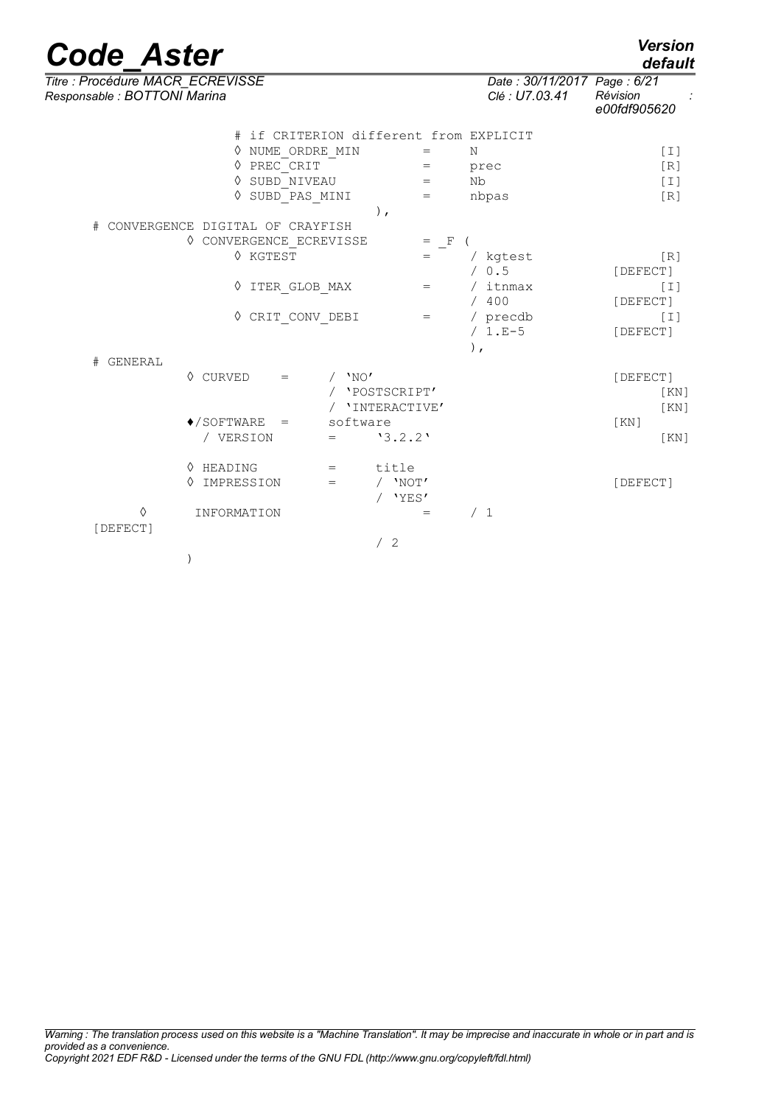| <b>Code Aster</b>                                                                                                                                                  |                                                                       | <b>Version</b><br>default                                                      |
|--------------------------------------------------------------------------------------------------------------------------------------------------------------------|-----------------------------------------------------------------------|--------------------------------------------------------------------------------|
| Titre : Procédure MACR ECREVISSE<br>Responsable : BOTTONI Marina                                                                                                   | Date: 30/11/2017 Page: 6/21<br>Clé : U7.03.41                         | Révision<br>e00fdf905620                                                       |
| # if CRITERION different from EXPLICIT<br>♦ NUME ORDRE MIN<br>$=$<br>$\Diamond$ PREC CRIT<br>$=$<br>SUBD NIVEAU<br>♦<br>$=$<br>SUBD PAS MINI<br>♦<br>$=$<br>$\,$ , | N<br>prec<br>Nb<br>nbpas                                              | [I]<br>[R]<br>$[1]$<br>[R]                                                     |
| # CONVERGENCE DIGITAL OF CRAYFISH<br>♦ CONVERGENCE ECREVISSE<br>$\mathbf{F}$<br>$=$<br>♦ KGTEST<br>ITER GLOB MAX<br>$=$<br>♦ CRIT CONV DEBI<br>$=$                 | / kgtest<br>/ 0.5<br>/ itnmax<br>400<br>/ precdb<br>$/1.E-5$<br>$)$ , | [R]<br>[DEFECT]<br>$[1]$<br>[DEFECT]<br>$\lceil$ $\lceil$ $\lceil$<br>[DEFECT] |
| # GENERAL<br>♦ CURVED<br>'NO'<br>$=$<br>'POSTSCRIPT'<br>'INTERACTIVE'<br>$\bigtriangledown$ SOFTWARE<br>software<br>$=$<br>/ VERSION<br>'3.2.2'<br>$=$             |                                                                       | [DEFECT]<br>[KN]<br>KN<br>KN<br>KN                                             |
| ♦ HEADING<br>title<br>$=$<br>IMPRESSION<br>$/$ 'NOT'<br>♦<br>$=$<br>'YES'<br>♦<br>INFORMATION<br>$=$<br>[DEFECT]<br>/2                                             | /1                                                                    | [DEFECT]                                                                       |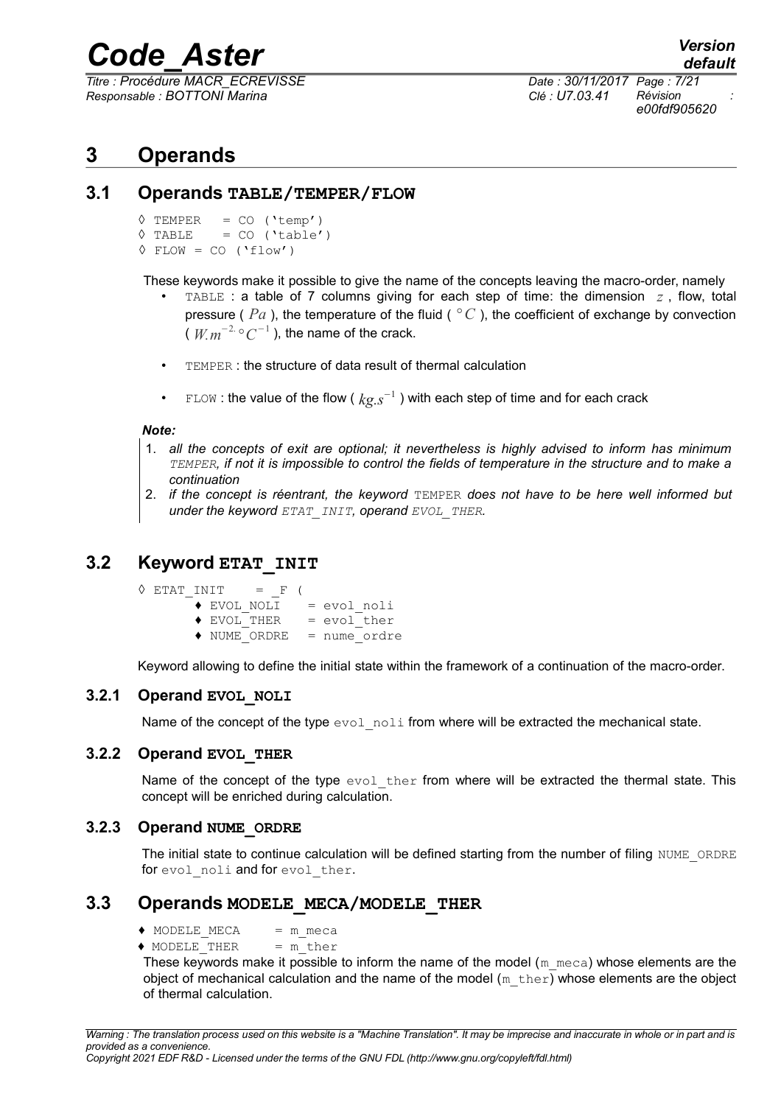*Titre : Procédure MACR\_ECREVISSE Date : 30/11/2017 Page : 7/21 Responsable : BOTTONI Marina Clé : U7.03.41 Révision :*

*e00fdf905620*

### <span id="page-6-3"></span>**3 Operands**

#### **3.1 Operands TABLE/TEMPER/FLOW**

```
◊ TEMPER = CO ('temp')
\Diamond TABLE = CO ('table')
\Diamond FLOW = CO ('flow')
```
These keywords make it possible to give the name of the concepts leaving the macro-order, namely

- TABLE : a table of 7 columns giving for each step of time: the dimension  $z$ , flow, total pressure ( $Pa$ ), the temperature of the fluid ( $°C$ ), the coefficient of exchange by convection  $(W/m^{-2.5}C^{-1})$ , the name of the crack.
- TEMPER : the structure of data result of thermal calculation
- FLOW : the value of the flow ( *kg.s*<sup>−</sup><sup>1</sup> ) with each step of time and for each crack

#### *Note:*

- 1. *all the concepts of exit are optional; it nevertheless is highly advised to inform has minimum TEMPER, if not it is impossible to control the fields of temperature in the structure and to make a continuation*
- 2. *if the concept is réentrant, the keyword* TEMPER *does not have to be here well informed but under the keyword ETAT\_INIT, operand EVOL\_THER.*

#### **3.2 Keyword ETAT\_INIT**

<span id="page-6-1"></span>

|  | $\Diamond$ ETAT INIT = F ( |  |  |               |              |
|--|----------------------------|--|--|---------------|--------------|
|  | ♦ EVOL NOLI                |  |  | = evol noli   |              |
|  | $\blacklozenge$ EVOL THER  |  |  | $=$ evol ther |              |
|  | $\blacklozenge$ NUME ORDRE |  |  |               | = nume ordre |

Keyword allowing to define the initial state within the framework of a continuation of the macro-order.

#### **3.2.1 Operand EVOL\_NOLI**

Name of the concept of the type  $evol$  noli from where will be extracted the mechanical state.

#### **3.2.2 Operand EVOL\_THER**

Name of the concept of the type evol ther from where will be extracted the thermal state. This concept will be enriched during calculation.

#### **3.2.3 Operand NUME\_ORDRE**

The initial state to continue calculation will be defined starting from the number of filing NUME\_ORDRE for evol noli and for evol ther.

#### **3.3 Operands MODELE\_MECA/MODELE\_THER**

- <span id="page-6-0"></span> $\triangle$  MODELE MECA = m\_meca
- ◆ MODELE THER = m\_ther

These keywords make it possible to inform the name of the model  $(m_m \text{~meca})$  whose elements are the object of mechanical calculation and the name of the model  $(m_\text{ther})$  whose elements are the object of thermal calculation.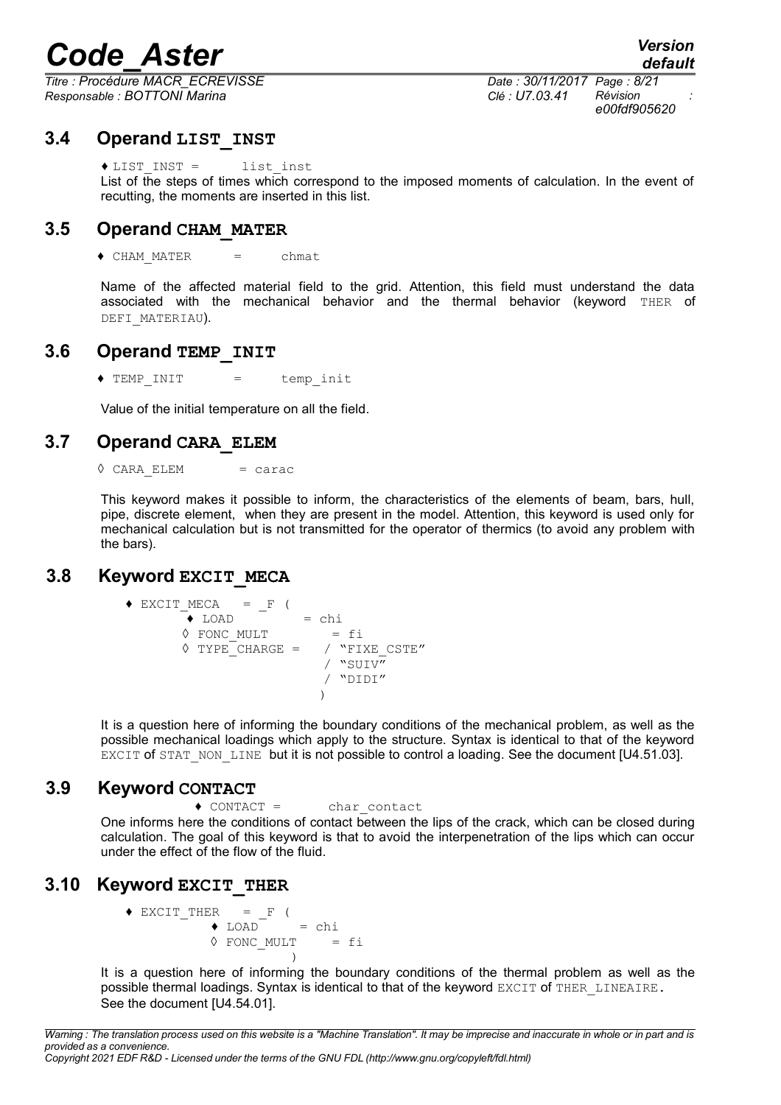*Titre : Procédure MACR\_ECREVISSE Date : 30/11/2017 Page : 8/21 Responsable : BOTTONI Marina Clé : U7.03.41 Révision :*

*e00fdf905620*

#### **3.4 Operand LIST\_INST**

<span id="page-7-6"></span>♦ LIST\_INST = list\_inst

List of the steps of times which correspond to the imposed moments of calculation. In the event of recutting, the moments are inserted in this list.

#### **3.5 Operand CHAM\_MATER**

<span id="page-7-5"></span>♦ CHAM\_MATER = chmat

Name of the affected material field to the grid. Attention, this field must understand the data associated with the mechanical behavior and the thermal behavior (keyword THER of DEFI\_MATERIAU).

#### **3.6 Operand TEMP\_INIT**

<span id="page-7-4"></span>♦ TEMP\_INIT = temp\_init

<span id="page-7-3"></span>Value of the initial temperature on all the field.

#### **3.7 Operand CARA\_ELEM**

 $\Diamond$  CARA ELEM = carac

This keyword makes it possible to inform, the characteristics of the elements of beam, bars, hull, pipe, discrete element, when they are present in the model. Attention, this keyword is used only for mechanical calculation but is not transmitted for the operator of thermics (to avoid any problem with the bars).

#### **3.8 Keyword EXCIT\_MECA**

<span id="page-7-2"></span>
$$
\begin{array}{ll}\n\text{\textbullet} \text{ EXCIT\_MECA} & = \_ \text{F} \quad (\text{CFA} \quad = \_ \text{chi} \\
\text{\textbullet} \quad \text{LOAD} \quad & = \text{chi} \\
\text{\textbullet} \quad \text{FONC\_MULT} \quad & = \text{fi} \\
\text{\textbullet} \quad \text{TYPE\_CHARGE} & & / \text{``SUV''} \\
 & / \text{``SUV''} \\
 & / \text{``DIDI''} \\
 & )\n\end{array}
$$

It is a question here of informing the boundary conditions of the mechanical problem, as well as the possible mechanical loadings which apply to the structure. Syntax is identical to that of the keyword EXCIT of STAT\_NON\_LINE but it is not possible to control a loading. See the document [U4.51.03].

#### **3.9 Keyword CONTACT**

♦ CONTACT = char\_contact

<span id="page-7-1"></span>One informs here the conditions of contact between the lips of the crack, which can be closed during calculation. The goal of this keyword is that to avoid the interpenetration of the lips which can occur under the effect of the flow of the fluid.

#### **3.10 Keyword EXCIT\_THER**

<span id="page-7-0"></span> $\triangle$  EXCIT THER = F (  $\triangle$  LOAD = chi  $\Diamond$  FONC MULT = fi )

It is a question here of informing the boundary conditions of the thermal problem as well as the possible thermal loadings. Syntax is identical to that of the keyword EXCIT of THER LINEAIRE. See the document [U4.54.01].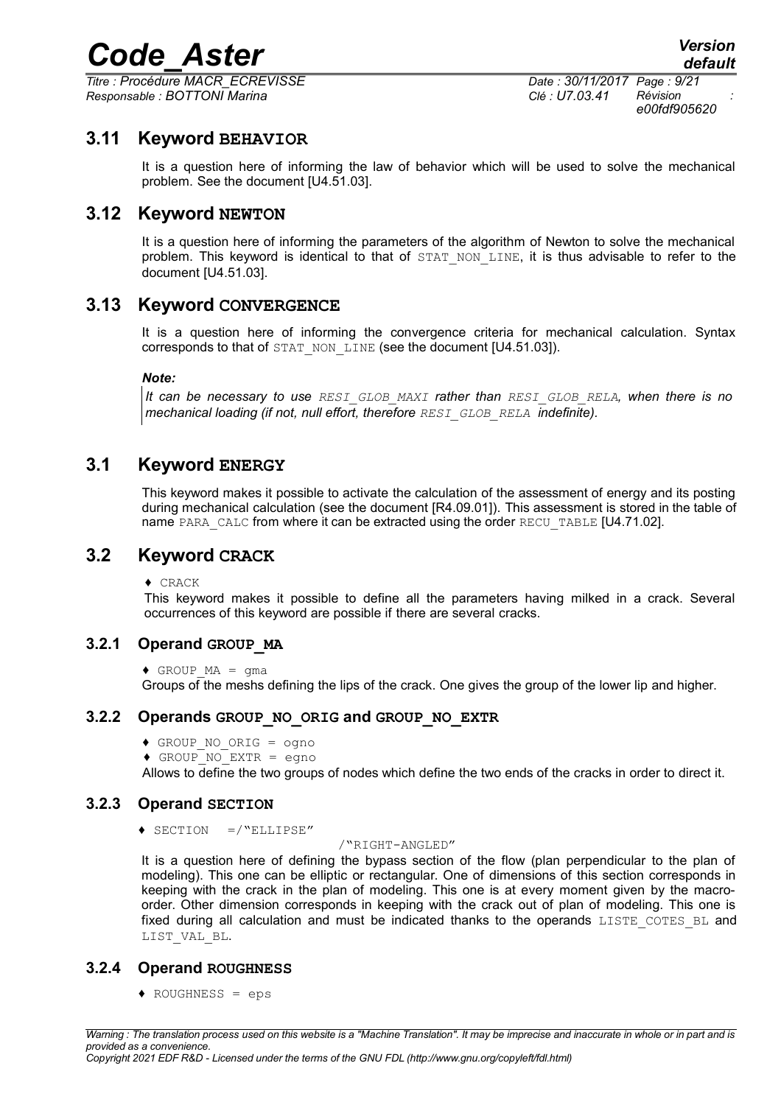*Titre : Procédure MACR\_ECREVISSE Date : 30/11/2017 Page : 9/21 Responsable : BOTTONI Marina Clé : U7.03.41 Révision :*

*e00fdf905620*

#### **3.11 Keyword BEHAVIOR**

<span id="page-8-4"></span>It is a question here of informing the law of behavior which will be used to solve the mechanical problem. See the document [U4.51.03].

#### **3.12 Keyword NEWTON**

<span id="page-8-3"></span>It is a question here of informing the parameters of the algorithm of Newton to solve the mechanical problem. This keyword is identical to that of STAT\_NON\_LINE, it is thus advisable to refer to the document [U4.51.03].

#### **3.13 Keyword CONVERGENCE**

<span id="page-8-2"></span>It is a question here of informing the convergence criteria for mechanical calculation. Syntax corresponds to that of STAT\_NON\_LINE (see the document [U4.51.03]).

#### *Note:*

*It can be necessary to use RESI\_GLOB\_MAXI rather than RESI\_GLOB\_RELA, when there is no mechanical loading (if not, null effort, therefore RESI\_GLOB\_RELA indefinite).*

#### **3.1 Keyword ENERGY**

<span id="page-8-1"></span>This keyword makes it possible to activate the calculation of the assessment of energy and its posting during mechanical calculation (see the document [R4.09.01]). This assessment is stored in the table of name PARA\_CALC from where it can be extracted using the order RECU\_TABLE [U4.71.02].

#### **3.2 Keyword CRACK**

<span id="page-8-0"></span>♦ CRACK

This keyword makes it possible to define all the parameters having milked in a crack. Several occurrences of this keyword are possible if there are several cracks.

#### **3.2.1 Operand GROUP\_MA**

 $\triangleleft$  GROUP MA = gma

Groups of the meshs defining the lips of the crack. One gives the group of the lower lip and higher.

#### **3.2.2 Operands GROUP\_NO\_ORIG and GROUP\_NO\_EXTR**

- ♦ GROUP\_NO\_ORIG = ogno
- $\triangle$  GROUP NO EXTR = egno

Allows to define the two groups of nodes which define the two ends of the cracks in order to direct it.

#### **3.2.3 Operand SECTION**

♦ SECTION =/"ELLIPSE"

#### /"RIGHT-ANGLED"

It is a question here of defining the bypass section of the flow (plan perpendicular to the plan of modeling). This one can be elliptic or rectangular. One of dimensions of this section corresponds in keeping with the crack in the plan of modeling. This one is at every moment given by the macroorder. Other dimension corresponds in keeping with the crack out of plan of modeling. This one is fixed during all calculation and must be indicated thanks to the operands LISTE COTES BL and LIST\_VAL\_BL.

#### **3.2.4 Operand ROUGHNESS**

♦ ROUGHNESS = eps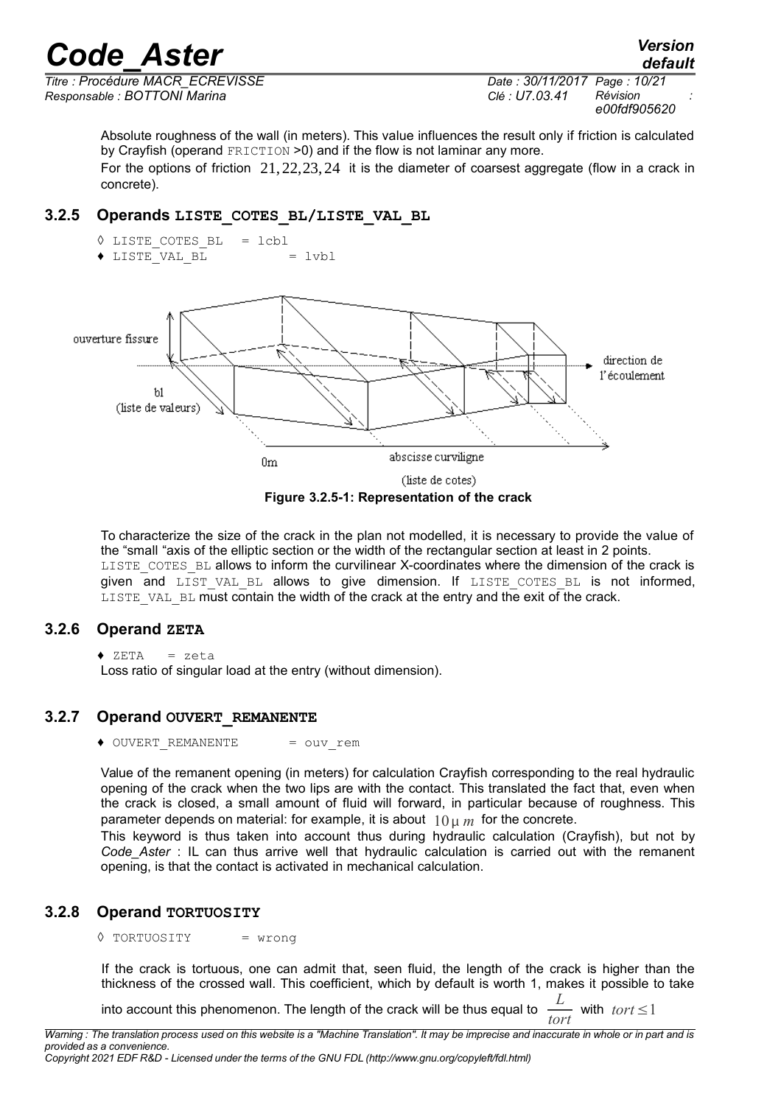*default*

*Titre : Procédure MACR\_ECREVISSE Date : 30/11/2017 Page : 10/21 Responsable : BOTTONI Marina Clé : U7.03.41 Révision :*

*e00fdf905620*

Absolute roughness of the wall (in meters). This value influences the result only if friction is calculated by Crayfish (operand FRICTION >0) and if the flow is not laminar any more.

For the options of friction 21, 22,23, 24 it is the diameter of coarsest aggregate (flow in a crack in concrete).

#### **3.2.5 Operands LISTE\_COTES\_BL/LISTE\_VAL\_BL**



To characterize the size of the crack in the plan not modelled, it is necessary to provide the value of the "small "axis of the elliptic section or the width of the rectangular section at least in 2 points. LISTE\_COTES\_BL allows to inform the curvilinear X-coordinates where the dimension of the crack is given and LIST VAL BL allows to give dimension. If LISTE COTES BL is not informed, LISTE VAL BL must contain the width of the crack at the entry and the exit of the crack.

#### **3.2.6 Operand ZETA**

 $\triangleleft$  ZETA = zeta

Loss ratio of singular load at the entry (without dimension).

#### **3.2.7 Operand OUVERT\_REMANENTE**

◆ OUVERT REMANENTE = ouv\_rem

Value of the remanent opening (in meters) for calculation Crayfish corresponding to the real hydraulic opening of the crack when the two lips are with the contact. This translated the fact that, even when the crack is closed, a small amount of fluid will forward, in particular because of roughness. This parameter depends on material: for example, it is about  $10 \mu m$  for the concrete.

This keyword is thus taken into account thus during hydraulic calculation (Crayfish), but not by *Code\_Aster* : IL can thus arrive well that hydraulic calculation is carried out with the remanent opening, is that the contact is activated in mechanical calculation.

#### **3.2.8 Operand TORTUOSITY**

◊ TORTUOSITY = wrong

If the crack is tortuous, one can admit that, seen fluid, the length of the crack is higher than the thickness of the crossed wall. This coefficient, which by default is worth 1, makes it possible to take

into account this phenomenon. The length of the crack will be thus equal to *tort*  $\frac{L}{m}$  with *tort* ≤ 1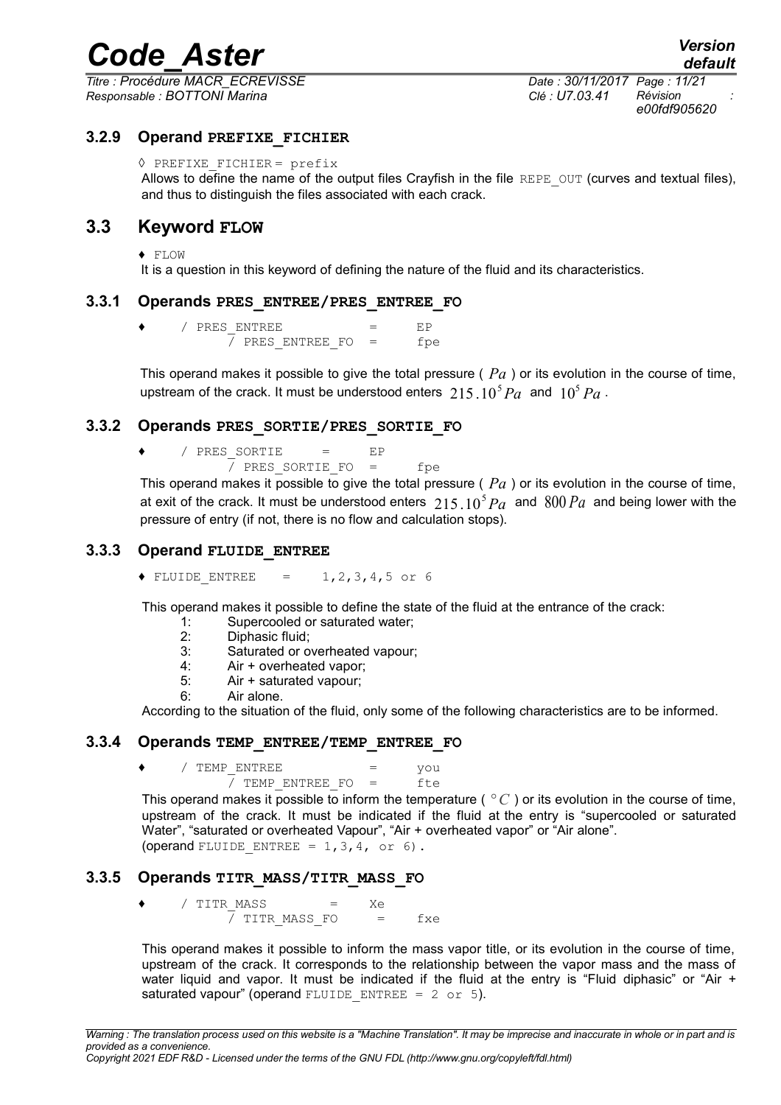*Titre : Procédure MACR\_ECREVISSE Date : 30/11/2017 Page : 11/21 Responsable : BOTTONI Marina Clé : U7.03.41 Révision :*

#### **3.2.9 Operand PREFIXE\_FICHIER**

◊ PREFIXE\_FICHIER = prefix

Allows to define the name of the output files Crayfish in the file REPE\_OUT (curves and textual files), and thus to distinguish the files associated with each crack.

#### **3.3 Keyword FLOW**

<span id="page-10-0"></span>♦ FLOW

It is a question in this keyword of defining the nature of the fluid and its characteristics.

#### **3.3.1 Operands PRES\_ENTREE/PRES\_ENTREE\_FO**

♦ / PRES\_ENTREE = EP / PRES ENTREE FO = fpe

This operand makes it possible to give the total pressure ( *Pa* ) or its evolution in the course of time, upstream of the crack. It must be understood enters  $\ 215$  ,  $10^5 Pa\,$  and  $\ 10^5 Pa$  .

#### **3.3.2 Operands PRES\_SORTIE/PRES\_SORTIE\_FO**

- ♦ / PRES\_SORTIE = EP
	- / PRES SORTIE FO = fpe

This operand makes it possible to give the total pressure ( *Pa* ) or its evolution in the course of time, at exit of the crack. It must be understood enters  $\ 215$  ,  $10^5 Pa\,$  and  $\ 800\ Pa\,$  and being lower with the pressure of entry (if not, there is no flow and calculation stops).

#### **3.3.3 Operand FLUIDE\_ENTREE**

 $\triangle$  FLUIDE ENTREE = 1,2,3,4,5 or 6

This operand makes it possible to define the state of the fluid at the entrance of the crack:

- 1: Supercooled or saturated water;
- 2: Diphasic fluid;
- 3: Saturated or overheated vapour;
- 4: Air + overheated vapor;
- 5: Air + saturated vapour;
- 6: Air alone.

According to the situation of the fluid, only some of the following characteristics are to be informed.

#### **3.3.4 Operands TEMP\_ENTREE/TEMP\_ENTREE\_FO**

- / TEMP ENTREE  $=$  you
	- $\overline{7}$  TEMP ENTREE FO = fte

This operand makes it possible to inform the temperature ( $\degree$ C) or its evolution in the course of time, upstream of the crack. It must be indicated if the fluid at the entry is "supercooled or saturated Water", "saturated or overheated Vapour", "Air + overheated vapor" or "Air alone". (operand FLUIDE ENTREE =  $1,3,4$ , or 6).

#### **3.3.5 Operands TITR\_MASS/TITR\_MASS\_FO**

 $/$  TITR MASS  $=$  Xe / TITR\_MASS\_FO = fxe

This operand makes it possible to inform the mass vapor title, or its evolution in the course of time, upstream of the crack. It corresponds to the relationship between the vapor mass and the mass of water liquid and vapor. It must be indicated if the fluid at the entry is "Fluid diphasic" or "Air + saturated vapour" (operand FLUIDE ENTREE =  $2$  or 5).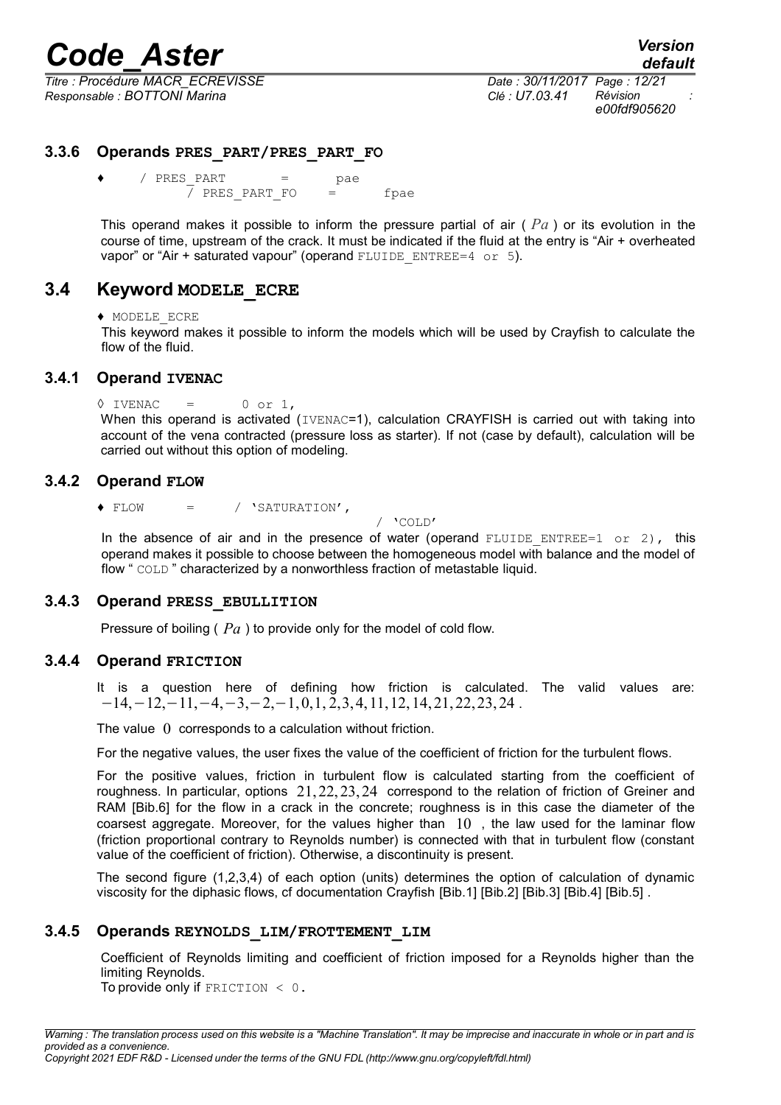*Titre : Procédure MACR\_ECREVISSE Date : 30/11/2017 Page : 12/21 Responsable : BOTTONI Marina Clé : U7.03.41 Révision :*

#### **3.3.6 Operands PRES\_PART/PRES\_PART\_FO**

 $\bullet$  / PRES PART = pae  $\overline{7}$  PRES PART FO = fpae

This operand makes it possible to inform the pressure partial of air ( *Pa* ) or its evolution in the course of time, upstream of the crack. It must be indicated if the fluid at the entry is "Air + overheated vapor" or "Air + saturated vapour" (operand FLUIDE\_ENTREE= $4$  or 5).

#### **3.4 Keyword MODELE\_ECRE**

<span id="page-11-0"></span>♦ MODELE\_ECRE

This keyword makes it possible to inform the models which will be used by Crayfish to calculate the flow of the fluid.

#### **3.4.1 Operand IVENAC**

```
\sqrt{VENAC} = 0 or 1,
```
When this operand is activated (IVENAC=1), calculation CRAYFISH is carried out with taking into account of the vena contracted (pressure loss as starter). If not (case by default), calculation will be carried out without this option of modeling.

#### **3.4.2 Operand FLOW**

♦ FLOW = / 'SATURATION',

```
/ 'COLD'
```
In the absence of air and in the presence of water (operand FLUIDE ENTREE=1 or 2), this operand makes it possible to choose between the homogeneous model with balance and the model of flow " COLD " characterized by a nonworthless fraction of metastable liquid.

#### **3.4.3 Operand PRESS\_EBULLITION**

Pressure of boiling ( *Pa* ) to provide only for the model of cold flow.

#### **3.4.4 Operand FRICTION**

It is a question here of defining how friction is calculated. The valid values are: −14,−12,−11,−4,−3,−2,−1,0,1, 2,3,4,11,12, 14,21,22,23, 24 .

The value  $\theta$  corresponds to a calculation without friction.

For the negative values, the user fixes the value of the coefficient of friction for the turbulent flows.

For the positive values, friction in turbulent flow is calculated starting from the coefficient of roughness. In particular, options  $21,22,23,24$  correspond to the relation of friction of Greiner and RAM [\[Bib.6\]](#page-16-1) for the flow in a crack in the concrete; roughness is in this case the diameter of the coarsest aggregate. Moreover, for the values higher than  $10$ , the law used for the laminar flow (friction proportional contrary to Reynolds number) is connected with that in turbulent flow (constant value of the coefficient of friction). Otherwise, a discontinuity is present.

The second figure (1,2,3,4) of each option (units) determines the option of calculation of dynamic viscosity for the diphasic flows, cf documentation Crayfish [\[Bib.1\]](#page-16-6) [\[Bib.2\]](#page-16-5) [\[Bib.3\]](#page-16-4) [\[Bib.4\]](#page-16-3) [\[Bib.5\]](#page-16-2) .

#### **3.4.5 Operands REYNOLDS\_LIM/FROTTEMENT\_LIM**

Coefficient of Reynolds limiting and coefficient of friction imposed for a Reynolds higher than the limiting Reynolds.

To provide only if  $FRICITION < 0$ .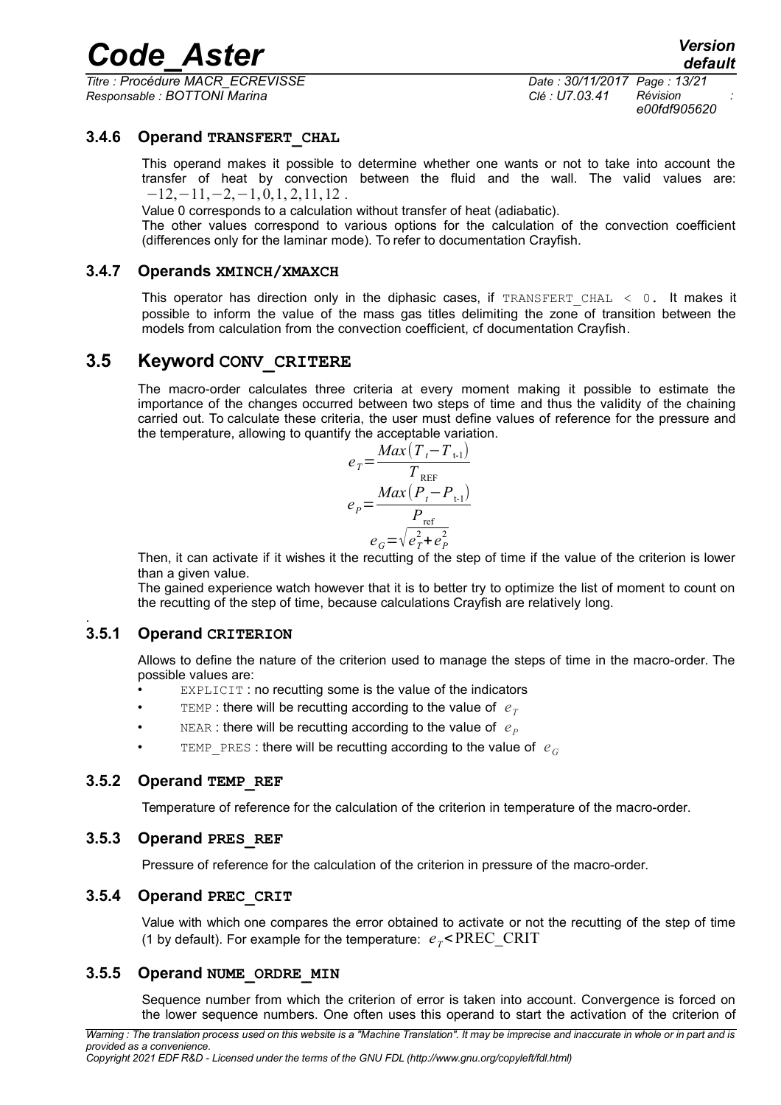*Titre : Procédure MACR\_ECREVISSE Date : 30/11/2017 Page : 13/21 Responsable : BOTTONI Marina Clé : U7.03.41 Révision :*

*default*

*e00fdf905620*

#### **3.4.6 Operand TRANSFERT\_CHAL**

This operand makes it possible to determine whether one wants or not to take into account the transfer of heat by convection between the fluid and the wall. The valid values are:  $-12, -11, -2, -1, 0, 1, 2, 11, 12$ .

Value 0 corresponds to a calculation without transfer of heat (adiabatic).

The other values correspond to various options for the calculation of the convection coefficient (differences only for the laminar mode). To refer to documentation Crayfish.

#### **3.4.7 Operands XMINCH/XMAXCH**

This operator has direction only in the diphasic cases, if  $TRANSFERT CHAL < 0$ . It makes it possible to inform the value of the mass gas titles delimiting the zone of transition between the models from calculation from the convection coefficient, cf documentation Crayfish.

#### **3.5 Keyword CONV\_CRITERE**

<span id="page-12-0"></span>The macro-order calculates three criteria at every moment making it possible to estimate the importance of the changes occurred between two steps of time and thus the validity of the chaining carried out. To calculate these criteria, the user must define values of reference for the pressure and the temperature, allowing to quantify the acceptable variation.

$$
e_{T} = \frac{Max(T_{t} - T_{t-1})}{T_{\text{REF}}}
$$

$$
e_{P} = \frac{Max(P_{t} - P_{t-1})}{P_{\text{ref}}}
$$

$$
e_{G} = \sqrt{e_{T}^{2} + e_{P}^{2}}
$$

Then, it can activate if it wishes it the recutting of the step of time if the value of the criterion is lower than a given value.

The gained experience watch however that it is to better try to optimize the list of moment to count on the recutting of the step of time, because calculations Crayfish are relatively long.

#### **3.5.1 Operand CRITERION**

.

Allows to define the nature of the criterion used to manage the steps of time in the macro-order. The possible values are:

- EXPLICIT : no recutting some is the value of the indicators
- TEMP : there will be recutting according to the value of  $e_T$
- NEAR : there will be recutting according to the value of  $e_p$
- TEMP PRES : there will be recutting according to the value of  $e_G$

#### **3.5.2 Operand TEMP\_REF**

Temperature of reference for the calculation of the criterion in temperature of the macro-order.

#### **3.5.3 Operand PRES\_REF**

Pressure of reference for the calculation of the criterion in pressure of the macro-order.

#### **3.5.4 Operand PREC\_CRIT**

Value with which one compares the error obtained to activate or not the recutting of the step of time (1 by default). For example for the temperature:  $e_T$ <PREC\_CRIT

#### **3.5.5 Operand NUME\_ORDRE\_MIN**

Sequence number from which the criterion of error is taken into account. Convergence is forced on the lower sequence numbers. One often uses this operand to start the activation of the criterion of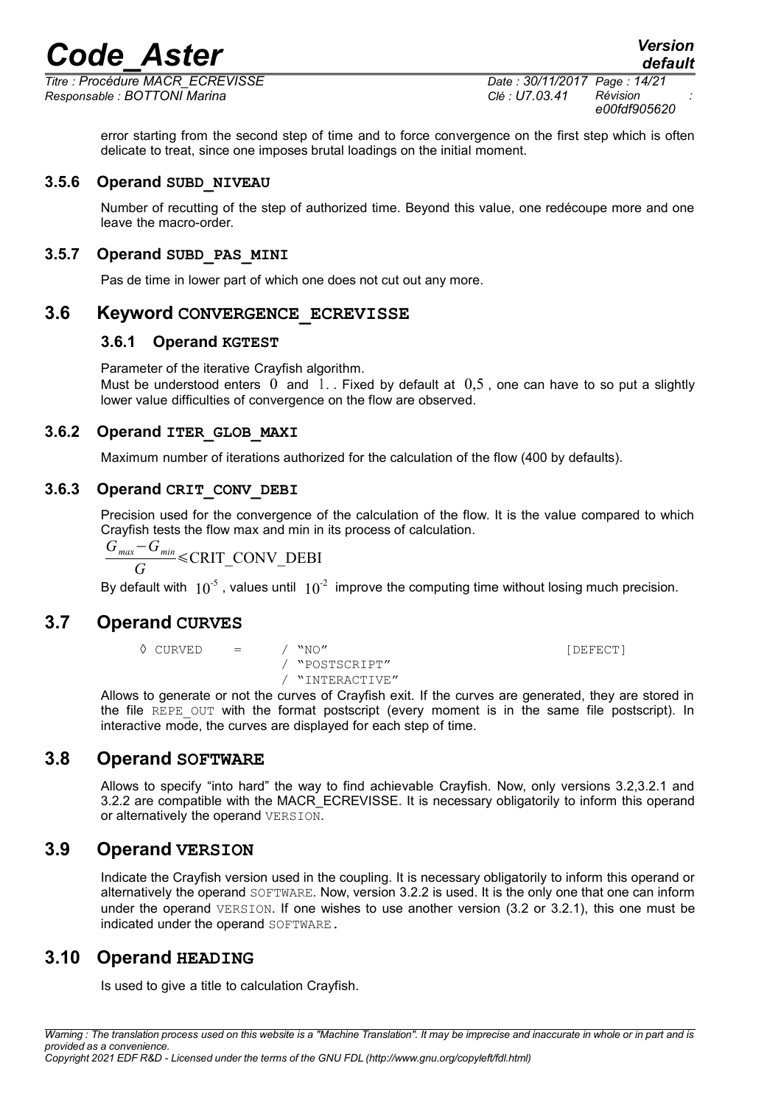*Titre : Procédure MACR\_ECREVISSE Date : 30/11/2017 Page : 14/21 Responsable : BOTTONI Marina Clé : U7.03.41 Révision :*

*e00fdf905620*

error starting from the second step of time and to force convergence on the first step which is often delicate to treat, since one imposes brutal loadings on the initial moment.

#### **3.5.6 Operand SUBD\_NIVEAU**

Number of recutting of the step of authorized time. Beyond this value, one redécoupe more and one leave the macro-order.

#### **3.5.7 Operand SUBD\_PAS\_MINI**

<span id="page-13-4"></span>Pas de time in lower part of which one does not cut out any more.

#### **3.6 Keyword CONVERGENCE\_ECREVISSE**

#### **3.6.1 Operand KGTEST**

Parameter of the iterative Crayfish algorithm.

Must be understood enters  $\overline{0}$  and  $\overline{1}$ . Fixed by default at  $\overline{0.5}$ , one can have to so put a slightly lower value difficulties of convergence on the flow are observed.

#### **3.6.2 Operand ITER\_GLOB\_MAXI**

Maximum number of iterations authorized for the calculation of the flow (400 by defaults).

#### **3.6.3 Operand CRIT\_CONV\_DEBI**

Precision used for the convergence of the calculation of the flow. It is the value compared to which Crayfish tests the flow max and min in its process of calculation.

$$
\frac{G_{\text{max}} - G_{\text{min}}}{G} \leq \text{CRIT\_CONV\_DEBI}
$$

<span id="page-13-3"></span>By default with  $10^{-5}$ , values until  $10^{-2}$  improve the computing time without losing much precision.

#### **3.7 Operand CURVES**

 $\Diamond$  CURVED = / "NO"  $\Box$   $\Box$  [DEFECT] / "POSTSCRIPT" / "INTERACTIVE"

Allows to generate or not the curves of Crayfish exit. If the curves are generated, they are stored in the file REPE OUT with the format postscript (every moment is in the same file postscript). In interactive mode, the curves are displayed for each step of time.

#### **3.8 Operand SOFTWARE**

<span id="page-13-2"></span>Allows to specify "into hard" the way to find achievable Crayfish. Now, only versions 3.2,3.2.1 and 3.2.2 are compatible with the MACR\_ECREVISSE. It is necessary obligatorily to inform this operand or alternatively the operand VERSION.

#### **3.9 Operand VERSION**

<span id="page-13-1"></span>Indicate the Crayfish version used in the coupling. It is necessary obligatorily to inform this operand or alternatively the operand SOFTWARE. Now, version 3.2.2 is used. It is the only one that one can inform under the operand VERSION. If one wishes to use another version (3.2 or 3.2.1), this one must be indicated under the operand SOFTWARE.

#### **3.10 Operand HEADING**

<span id="page-13-0"></span>Is used to give a title to calculation Crayfish.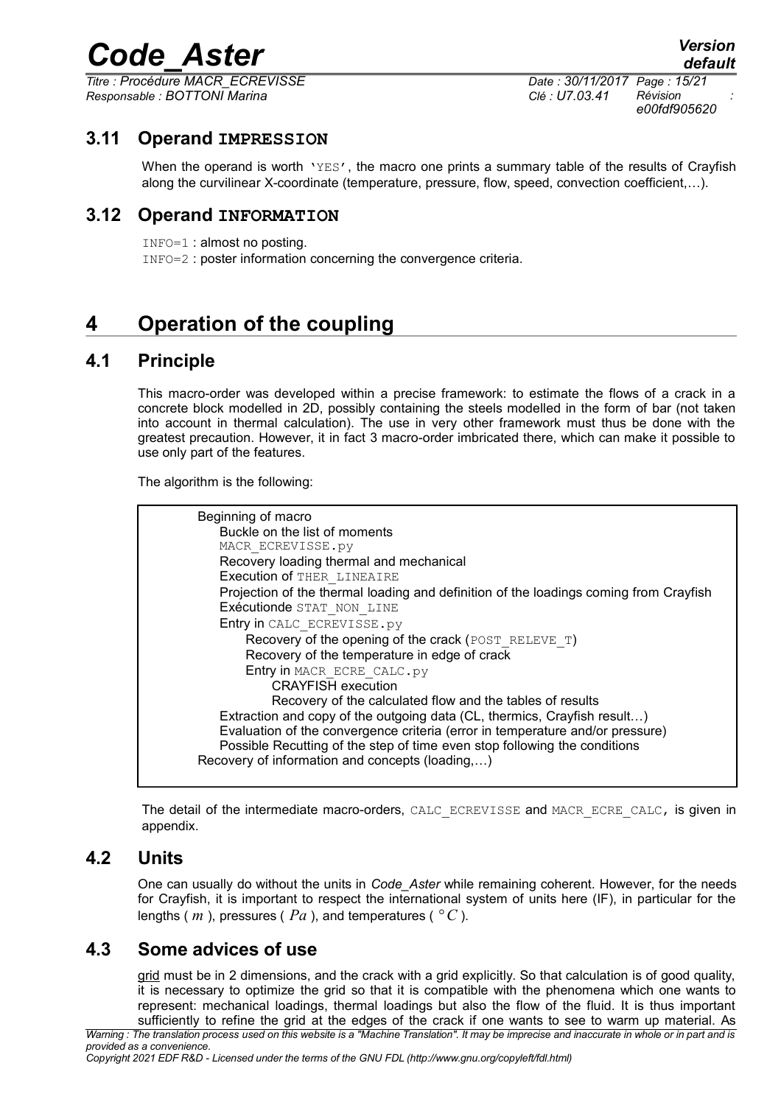*Titre : Procédure MACR\_ECREVISSE Date : 30/11/2017 Page : 15/21 Responsable : BOTTONI Marina Clé : U7.03.41 Révision :*

*default e00fdf905620*

#### **3.11 Operand IMPRESSION**

<span id="page-14-5"></span>When the operand is worth 'YES', the macro one prints a summary table of the results of Crayfish along the curvilinear X-coordinate (temperature, pressure, flow, speed, convection coefficient,…).

#### **3.12 Operand INFORMATION**

<span id="page-14-4"></span>INFO=1 : almost no posting.

INFO=2 : poster information concerning the convergence criteria.

### <span id="page-14-3"></span>**4 Operation of the coupling**

#### **4.1 Principle**

<span id="page-14-2"></span>This macro-order was developed within a precise framework: to estimate the flows of a crack in a concrete block modelled in 2D, possibly containing the steels modelled in the form of bar (not taken into account in thermal calculation). The use in very other framework must thus be done with the greatest precaution. However, it in fact 3 macro-order imbricated there, which can make it possible to use only part of the features.

The algorithm is the following:

| Beginning of macro                                                                    |
|---------------------------------------------------------------------------------------|
| Buckle on the list of moments                                                         |
| MACR ECREVISSE.py                                                                     |
| Recovery loading thermal and mechanical                                               |
| Execution of THER LINEAIRE                                                            |
| Projection of the thermal loading and definition of the loadings coming from Crayfish |
| Exécutionde STAT NON LINE                                                             |
| Entry in CALC ECREVISSE. py                                                           |
| Recovery of the opening of the crack (POST RELEVE $T$ )                               |
| Recovery of the temperature in edge of crack                                          |
| Entry in MACR ECRE CALC. py                                                           |
| <b>CRAYFISH</b> execution                                                             |
| Recovery of the calculated flow and the tables of results                             |
| Extraction and copy of the outgoing data (CL, thermics, Crayfish result)              |
| Evaluation of the convergence criteria (error in temperature and/or pressure)         |
| Possible Recutting of the step of time even stop following the conditions             |
| Recovery of information and concepts (loading)                                        |
|                                                                                       |

The detail of the intermediate macro-orders, CALC\_ECREVISSE and MACR\_ECRE\_CALC, is given in appendix.

#### **4.2 Units**

<span id="page-14-1"></span>One can usually do without the units in *Code\_Aster* while remaining coherent. However, for the needs for Crayfish, it is important to respect the international system of units here (IF), in particular for the lengths ( $m$ ), pressures ( $Pa$ ), and temperatures ( $°C$ ).

#### **4.3 Some advices of use**

<span id="page-14-0"></span>grid must be in 2 dimensions, and the crack with a grid explicitly. So that calculation is of good quality, it is necessary to optimize the grid so that it is compatible with the phenomena which one wants to represent: mechanical loadings, thermal loadings but also the flow of the fluid. It is thus important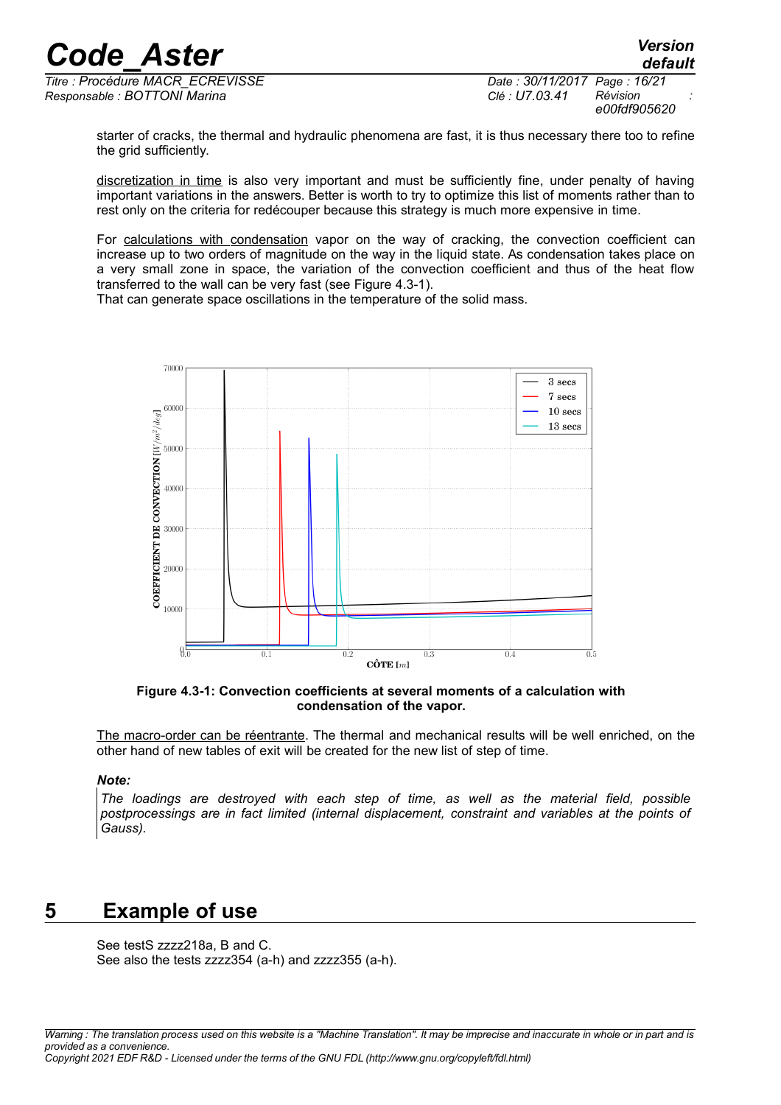*Titre : Procédure MACR\_ECREVISSE Date : 30/11/2017 Page : 16/21 Responsable : BOTTONI Marina Clé : U7.03.41 Révision :*

*e00fdf905620*

starter of cracks, the thermal and hydraulic phenomena are fast, it is thus necessary there too to refine the grid sufficiently.

discretization in time is also very important and must be sufficiently fine, under penalty of having important variations in the answers. Better is worth to try to optimize this list of moments rather than to rest only on the criteria for redécouper because this strategy is much more expensive in time.

For calculations with condensation vapor on the way of cracking, the convection coefficient can increase up to two orders of magnitude on the way in the liquid state. As condensation takes place on a very small zone in space, the variation of the convection coefficient and thus of the heat flow transferred to the wall can be very fast (see [Figure 4.3-1\)](#page-15-1).

That can generate space oscillations in the temperature of the solid mass.



<span id="page-15-1"></span>**Figure 4.3-1: Convection coefficients at several moments of a calculation with condensation of the vapor.**

The macro-order can be réentrante. The thermal and mechanical results will be well enriched, on the other hand of new tables of exit will be created for the new list of step of time.

#### *Note:*

*The loadings are destroyed with each step of time, as well as the material field, possible postprocessings are in fact limited (internal displacement, constraint and variables at the points of Gauss).*

### **5 Example of use**

<span id="page-15-0"></span>See testS zzzz218a, B and C. See also the tests zzzz354 (a-h) and zzzz355 (a-h). *default*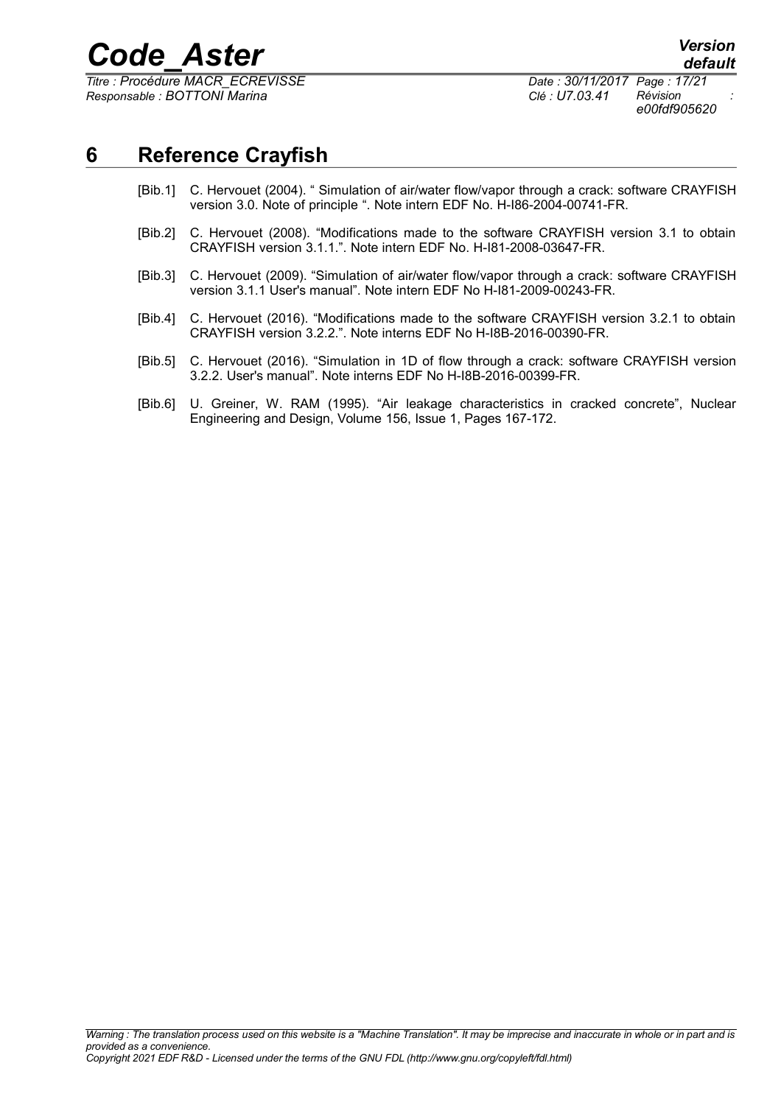*Titre : Procédure MACR\_ECREVISSE Date : 30/11/2017 Page : 17/21 Responsable : BOTTONI Marina Clé : U7.03.41 Révision :*

*e00fdf905620*

### **6 Reference Crayfish**

- <span id="page-16-6"></span><span id="page-16-0"></span>[Bib.1] C. Hervouet (2004). " Simulation of air/water flow/vapor through a crack: software CRAYFISH version 3.0. Note of principle ". Note intern EDF No. H-I86-2004-00741-FR.
- <span id="page-16-5"></span>[Bib.2] C. Hervouet (2008). "Modifications made to the software CRAYFISH version 3.1 to obtain CRAYFISH version 3.1.1.". Note intern EDF No. H-I81-2008-03647-FR.
- <span id="page-16-4"></span>[Bib.3] C. Hervouet (2009). "Simulation of air/water flow/vapor through a crack: software CRAYFISH version 3.1.1 User's manual". Note intern EDF No H-I81-2009-00243-FR.
- <span id="page-16-3"></span>[Bib.4] C. Hervouet (2016). "Modifications made to the software CRAYFISH version 3.2.1 to obtain CRAYFISH version 3.2.2.". Note interns EDF No H-I8B-2016-00390-FR.
- <span id="page-16-2"></span>[Bib.5] C. Hervouet (2016). "Simulation in 1D of flow through a crack: software CRAYFISH version 3.2.2. User's manual". Note interns EDF No H-I8B-2016-00399-FR.
- <span id="page-16-1"></span>[Bib.6] U. Greiner, W. RAM (1995). "Air leakage characteristics in cracked concrete", Nuclear Engineering and Design, Volume 156, Issue 1, Pages 167-172.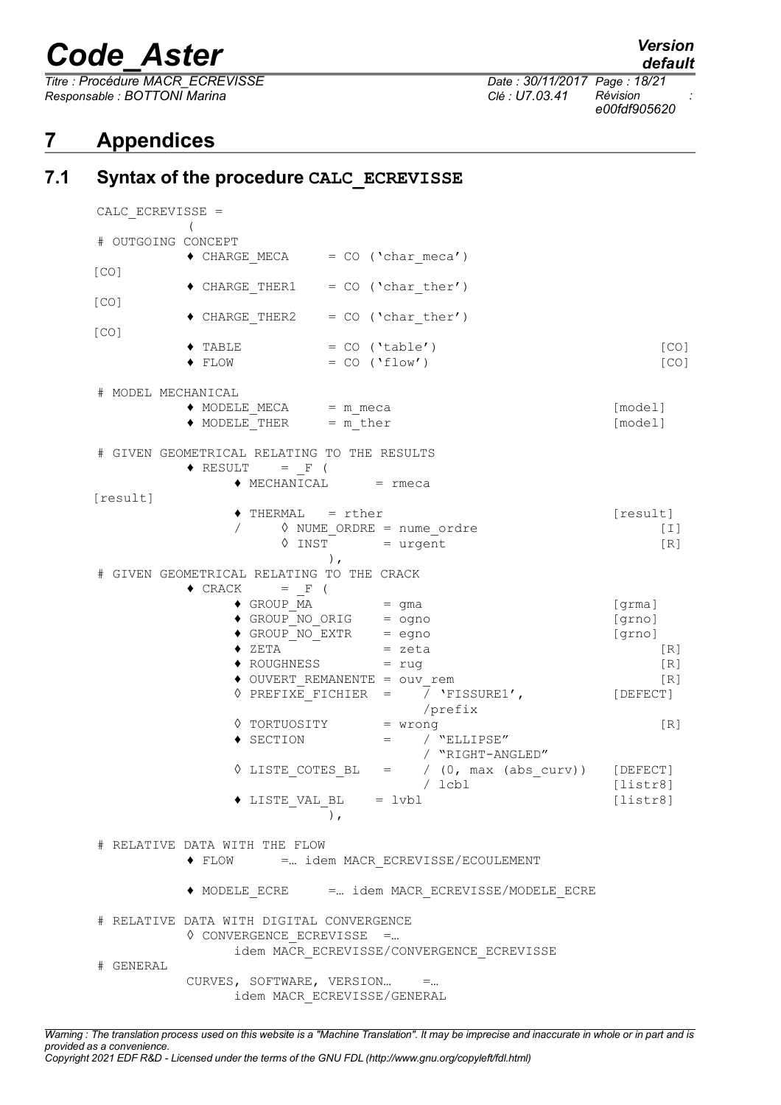*Titre : Procédure MACR\_ECREVISSE Date : 30/11/2017 Page : 18/21 Responsable : BOTTONI Marina Clé : U7.03.41 Révision :*

*e00fdf905620*

### <span id="page-17-1"></span>**7 Appendices**

<span id="page-17-0"></span>

|                  | Syntax of the procedure CALC ECREVISSE                                                |               |
|------------------|---------------------------------------------------------------------------------------|---------------|
| CALC ECREVISSE = |                                                                                       |               |
|                  | # OUTGOING CONCEPT                                                                    |               |
|                  | $\bullet$ CHARGE MECA = CO ('char meca')                                              |               |
| [CO]             |                                                                                       |               |
| [CO]             | $\bullet$ CHARGE THER1 = CO ('char ther')                                             |               |
|                  | $\bullet$ CHARGE THER2 = CO ('char ther')                                             |               |
| [CO]             |                                                                                       |               |
|                  | $\blacklozenge$ TABLE<br>$= CO ('table')$<br>$= CO ( 'flow')$<br>$\blacklozenge$ FLOW | [CO]<br>[CO]  |
|                  |                                                                                       |               |
|                  | # MODEL MECHANICAL                                                                    |               |
|                  | $\bullet$ MODELE_MECA = m_meca                                                        | [model]       |
|                  | $\bullet$ MODELE THER = m ther                                                        | [model]       |
|                  | # GIVEN GEOMETRICAL RELATING TO THE RESULTS<br>$\triangle$ RESULT = F (               |               |
|                  | $\blacklozenge$ MECHANICAL = rmeca                                                    |               |
| [result]         |                                                                                       |               |
|                  | $\bullet$ THERMAL = rther                                                             | [result]      |
|                  | $\Diamond$ NUME ORDRE = nume ordre<br>$\Diamond$ INST = urgent                        | $[1]$<br>[R]  |
|                  | $\,$ ,                                                                                |               |
|                  | # GIVEN GEOMETRICAL RELATING TO THE CRACK                                             |               |
|                  | $\bullet$ CRACK<br>$=$ F (                                                            |               |
|                  | $=$ gma<br>$\blacklozenge$ GROUP MA                                                   | [grama]       |
|                  | $\bullet$ GROUP_NO_ORIG = ogno                                                        | [grno]        |
|                  | $\bullet$ GROUP_NO_EXTR = egno<br>$\blacklozenge$ ZETA<br>= zeta                      | [grno]<br>[R] |
|                  | $\bullet$ ROUGHNESS = rug                                                             | [R]           |
|                  | $\lozenge$ OUVERT_REMANENTE = $\text{ouv}_{\text{rem}}$                               | [R]           |
|                  | $\Diamond$ PREFIXE FICHIER = $\overline{}/$ 'FISSURE1',                               | [DEFECT]      |
|                  | /prefix                                                                               |               |
|                  | $\Diamond$ TORTUOSITY = wrong                                                         | [R]           |
|                  | $=$ / "ELLIPSE"<br>$\blacklozenge$ SECTION                                            |               |
|                  | / "RIGHT-ANGLED"<br>$\Diamond$ LISTE COTES BL = / (0, max (abs curv)) [DEFECT]        |               |
|                  | $/$ lcbl                                                                              | [liststr8]    |
|                  | $\blacklozenge$ LISTE_VAL_BL = $1vb1$                                                 | [liststr8]    |
|                  | $\rightarrow$                                                                         |               |
|                  |                                                                                       |               |
|                  | # RELATIVE DATA WITH THE FLOW                                                         |               |
|                  | = idem MACR ECREVISSE/ECOULEMENT<br>$\blacklozenge$ FLOW                              |               |
|                  | ◆ MODELE ECRE = = idem MACR ECREVISSE/MODELE ECRE                                     |               |
|                  |                                                                                       |               |
|                  | # RELATIVE DATA WITH DIGITAL CONVERGENCE                                              |               |
|                  | $\Diamond$ CONVERGENCE ECREVISSE =                                                    |               |
| # GENERAL        | idem MACR ECREVISSE/CONVERGENCE ECREVISSE                                             |               |
|                  |                                                                                       |               |
|                  | CURVES, SOFTWARE, VERSION<br>$=$                                                      |               |

*Warning : The translation process used on this website is a "Machine Translation". It may be imprecise and inaccurate in whole or in part and is provided as a convenience.*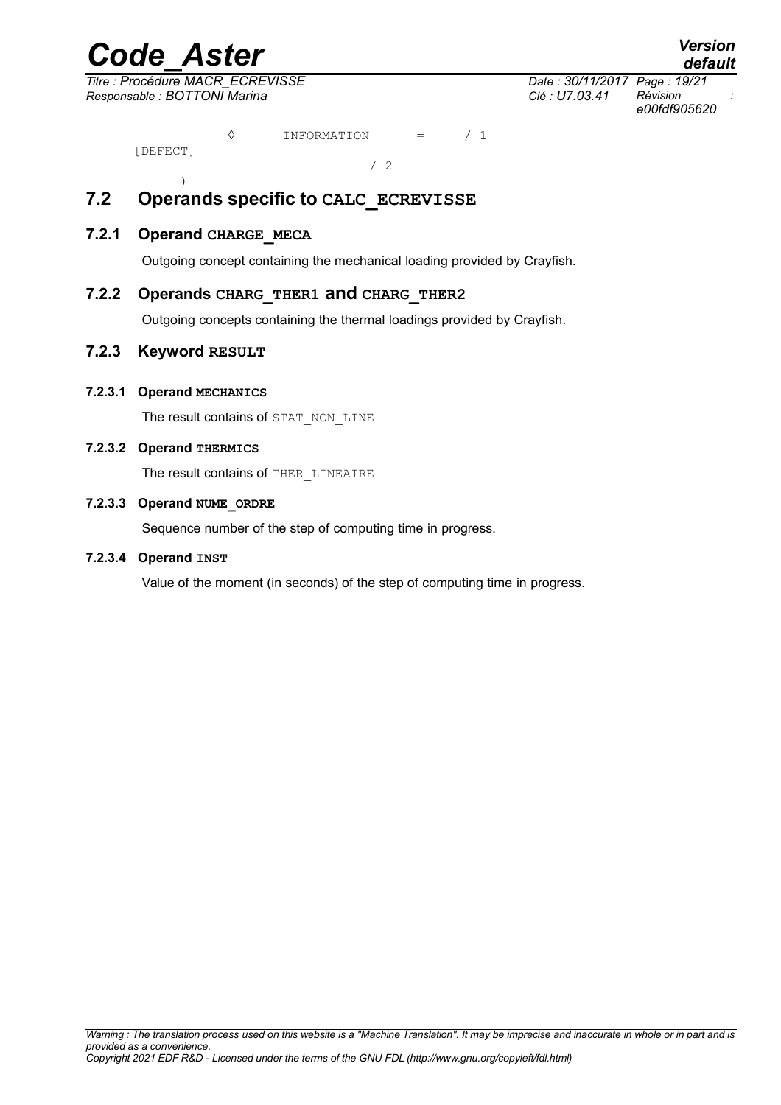*Code\_Aster Version Titre : Procédure MACR\_ECREVISSE Date : 30/11/2017 Page : 19/21 Responsable : BOTTONI Marina Clé : U7.03.41 Révision :*

*e00fdf905620*

◊ INFORMATION = / 1 [DEFECT]

<span id="page-18-0"></span>

)

/ 2

#### **7.2 Operands specific to CALC\_ECREVISSE**

#### **7.2.1 Operand CHARGE\_MECA**

Outgoing concept containing the mechanical loading provided by Crayfish.

#### **7.2.2 Operands CHARG\_THER1 and CHARG\_THER2**

Outgoing concepts containing the thermal loadings provided by Crayfish.

#### **7.2.3 Keyword RESULT**

#### **7.2.3.1 Operand MECHANICS**

The result contains of STAT\_NON\_LINE

#### **7.2.3.2 Operand THERMICS**

The result contains of THER\_LINEAIRE

#### **7.2.3.3 Operand NUME\_ORDRE**

Sequence number of the step of computing time in progress.

#### **7.2.3.4 Operand INST**

Value of the moment (in seconds) of the step of computing time in progress.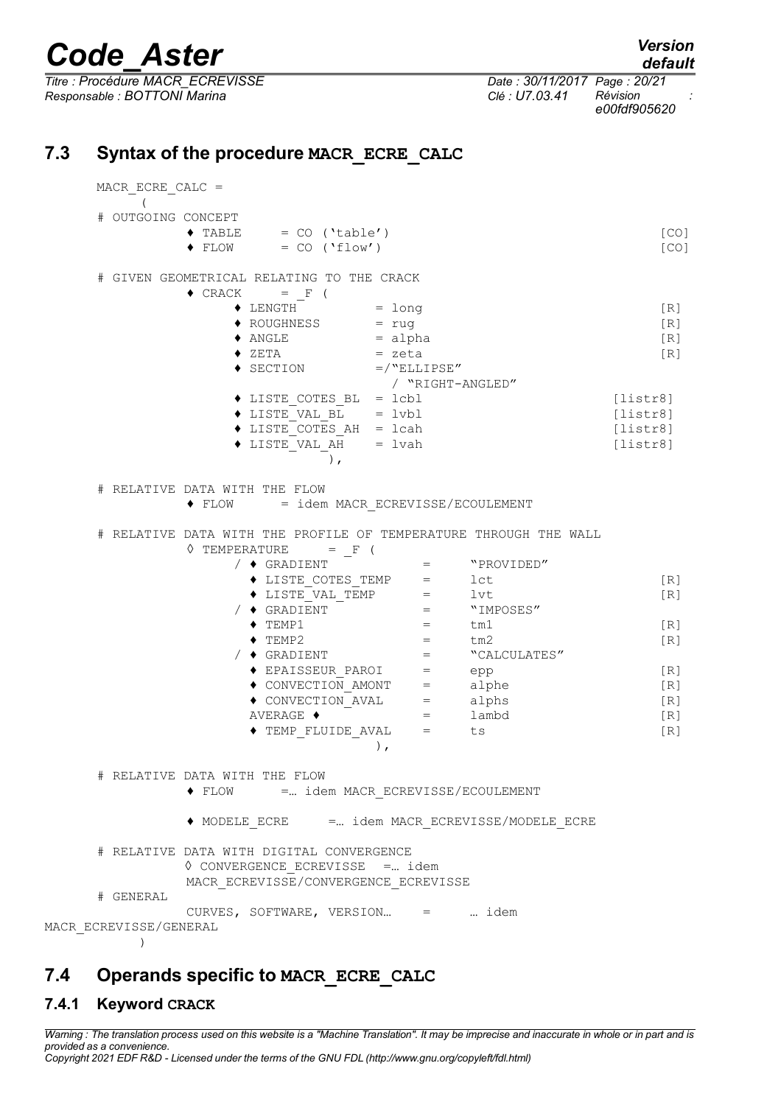*Titre : Procédure MACR\_ECREVISSE Date : 30/11/2017 Page : 20/21 Responsable : BOTTONI Marina Clé : U7.03.41 Révision :*

#### <span id="page-19-0"></span>**7.3 Syntax of the procedure MACR\_ECRE\_CALC**

| MACR ECRE CALC =       |                               |                                                                                                                                                                            |                           |                                                                  |                          |
|------------------------|-------------------------------|----------------------------------------------------------------------------------------------------------------------------------------------------------------------------|---------------------------|------------------------------------------------------------------|--------------------------|
| # OUTGOING CONCEPT     |                               |                                                                                                                                                                            |                           |                                                                  |                          |
|                        |                               | $\triangle$ TABLE = CO ('table')                                                                                                                                           |                           |                                                                  | [CO]                     |
|                        |                               | $\bullet$ FLOW = CO ('flow')                                                                                                                                               |                           |                                                                  | [CO]                     |
|                        |                               | # GIVEN GEOMETRICAL RELATING TO THE CRACK                                                                                                                                  |                           |                                                                  |                          |
|                        | $\blacklozenge$ CRACK         | $=$ F (                                                                                                                                                                    |                           |                                                                  |                          |
|                        |                               | $\blacklozenge$ LENGTH                                                                                                                                                     | $=$ long                  |                                                                  | [R]                      |
|                        |                               | $\blacklozenge$ ROUGHNESS                                                                                                                                                  | $= r u g$                 |                                                                  | [R]                      |
|                        | $\blacklozenge$ ANGLE         |                                                                                                                                                                            | $=$ alpha                 |                                                                  | [R]                      |
|                        | $\blacklozenge$ ZETA          |                                                                                                                                                                            | $=$ zeta                  |                                                                  | [R]                      |
|                        |                               | $\blacklozenge$ SECTION                                                                                                                                                    | $=$ /"ELLIPSE"            |                                                                  |                          |
|                        |                               |                                                                                                                                                                            | / "RIGHT-ANGLED"          |                                                                  |                          |
|                        |                               | $\blacklozenge$ LISTE_COTES_BL = lcbl                                                                                                                                      |                           |                                                                  | [liststr8]               |
|                        |                               | $\begin{array}{rcl} \blacklozenge & \mathtt{LISTE\_VAL\_B}\bar{\mathtt{L}} & = 1 \mathtt{vbl} \\ \blacklozenge & \mathtt{LISTE\_COTES\_AH} & = 1 \mathtt{cah} \end{array}$ |                           |                                                                  | [liststr8]               |
|                        |                               | $\bullet$ LISTE VAL AH = lvah                                                                                                                                              |                           |                                                                  | [liststr8]<br>[liststr8] |
|                        |                               | $\,$ ,                                                                                                                                                                     |                           |                                                                  |                          |
|                        | # RELATIVE DATA WITH THE FLOW |                                                                                                                                                                            |                           |                                                                  |                          |
|                        | $\blacklozenge$ FLOW          | = idem MACR ECREVISSE/ECOULEMENT                                                                                                                                           |                           |                                                                  |                          |
|                        |                               |                                                                                                                                                                            |                           |                                                                  |                          |
|                        |                               |                                                                                                                                                                            |                           | # RELATIVE DATA WITH THE PROFILE OF TEMPERATURE THROUGH THE WALL |                          |
|                        | $\Diamond$ TEMPERATURE        | $=$ F (                                                                                                                                                                    |                           |                                                                  |                          |
|                        |                               | $/$ $\blacklozenge$ GRADIENT                                                                                                                                               |                           | = "PROVIDED"                                                     |                          |
|                        |                               | → LISTE_COTES_TEMP = lct<br>→ LISTE_VAL_TEMP = lvt<br>→ GRADIENT = "IMPOSES"                                                                                               |                           |                                                                  | [R]                      |
|                        |                               | / ♦ GRADIENT                                                                                                                                                               |                           |                                                                  | [R]                      |
|                        |                               | $\blacklozenge$ TEMP1                                                                                                                                                      | $=$ $tm1$                 |                                                                  | [R]                      |
|                        |                               | $\blacklozenge$ TEMP2                                                                                                                                                      | $=$ $tm2$                 |                                                                  | [R]                      |
|                        |                               | / ♦ GRADIENT                                                                                                                                                               | $\mathbf{r} = \mathbf{r}$ | "CALCULATES"                                                     |                          |
|                        |                               |                                                                                                                                                                            |                           |                                                                  | [R]                      |
|                        |                               | → EPAISSEUR_PAROI = epp<br>→ CONVECTION_AMONT = alphe<br>→ CONVECTION_AVAL = alphs<br>AVERAGE ◆ = lambd                                                                    |                           |                                                                  | [R]                      |
|                        |                               |                                                                                                                                                                            |                           |                                                                  | [R]                      |
|                        |                               |                                                                                                                                                                            |                           |                                                                  | [R]                      |
|                        |                               | $\blacklozenge$ TEMP_FLUIDE AVAL =                                                                                                                                         |                           | ts                                                               | [R]                      |
|                        |                               |                                                                                                                                                                            | $)$ ,                     |                                                                  |                          |
|                        | # RELATIVE DATA WITH THE FLOW |                                                                                                                                                                            |                           |                                                                  |                          |
|                        |                               | ◆ FLOW =  idem MACR_ECREVISSE/ECOULEMENT                                                                                                                                   |                           |                                                                  |                          |
|                        |                               |                                                                                                                                                                            |                           | ◆ MODELE_ECRE = =  idem MACR ECREVISSE/MODELE ECRE               |                          |
|                        |                               |                                                                                                                                                                            |                           |                                                                  |                          |
|                        |                               | # RELATIVE DATA WITH DIGITAL CONVERGENCE                                                                                                                                   |                           |                                                                  |                          |
|                        |                               | $\Diamond$ CONVERGENCE ECREVISSE = idem                                                                                                                                    |                           |                                                                  |                          |
|                        |                               | MACR ECREVISSE/CONVERGENCE ECREVISSE                                                                                                                                       |                           |                                                                  |                          |
| # GENERAL              |                               |                                                                                                                                                                            |                           |                                                                  |                          |
|                        |                               | CURVES, SOFTWARE, VERSION =  idem                                                                                                                                          |                           |                                                                  |                          |
| MACR ECREVISSE/GENERAL |                               |                                                                                                                                                                            |                           |                                                                  |                          |
| $\lambda$              |                               |                                                                                                                                                                            |                           |                                                                  |                          |

### <span id="page-19-1"></span>**7.4 Operands specific to MACR\_ECRE\_CALC**

#### **7.4.1 Keyword CRACK**

*Warning : The translation process used on this website is a "Machine Translation". It may be imprecise and inaccurate in whole or in part and is provided as a convenience. Copyright 2021 EDF R&D - Licensed under the terms of the GNU FDL (http://www.gnu.org/copyleft/fdl.html)*